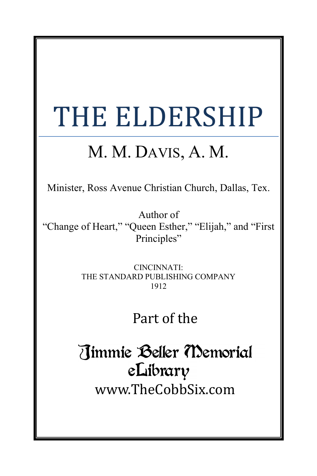# THE ELDERSHIP

# M. M. DAVIS, A. M.

Minister, Ross Avenue Christian Church, Dallas, Tex.

Author of "Change of Heart," "Queen Esther," "Elijah," and "First Principles"

> CINCINNATI: THE STANDARD PUBLISHING COMPANY 1912

# Part of the

Timmie Beller Memorial eLibrary www.TheCobbSix.com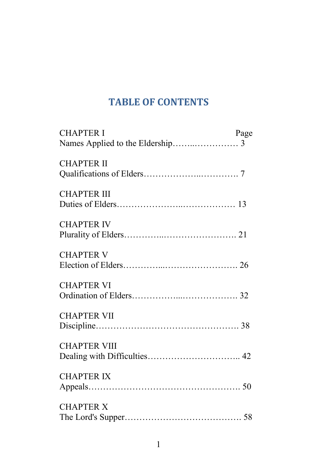# **TABLE OF CONTENTS**

| <b>CHAPTER I</b>    | Page |
|---------------------|------|
|                     |      |
| <b>CHAPTER II</b>   |      |
|                     |      |
| <b>CHAPTER III</b>  |      |
|                     |      |
| <b>CHAPTER IV</b>   |      |
|                     |      |
| <b>CHAPTER V</b>    |      |
|                     |      |
| <b>CHAPTER VI</b>   |      |
|                     |      |
| <b>CHAPTER VII</b>  |      |
|                     |      |
| <b>CHAPTER VIII</b> |      |
|                     |      |
| <b>CHAPTER IX</b>   |      |
|                     |      |
| <b>CHAPTER X</b>    |      |
|                     |      |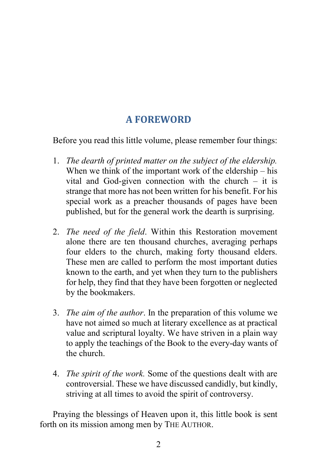# **A FOREWORD**

Before you read this little volume, please remember four things:

- 1. *The dearth of printed matter on the subject of the eldership.* When we think of the important work of the eldership – his vital and God-given connection with the church  $-$  it is strange that more has not been written for his benefit. For his special work as a preacher thousands of pages have been published, but for the general work the dearth is surprising.
- 2. *The need of the field*. Within this Restoration movement alone there are ten thousand churches, averaging perhaps four elders to the church, making forty thousand elders. These men are called to perform the most important duties known to the earth, and yet when they turn to the publishers for help, they find that they have been forgotten or neglected by the bookmakers.
- 3. *The aim of the author*. In the preparation of this volume we have not aimed so much at literary excellence as at practical value and scriptural loyalty. We have striven in a plain way to apply the teachings of the Book to the every-day wants of the church.
- 4. *The spirit of the work.* Some of the questions dealt with are controversial. These we have discussed candidly, but kindly, striving at all times to avoid the spirit of controversy.

Praying the blessings of Heaven upon it, this little book is sent forth on its mission among men by THE AUTHOR.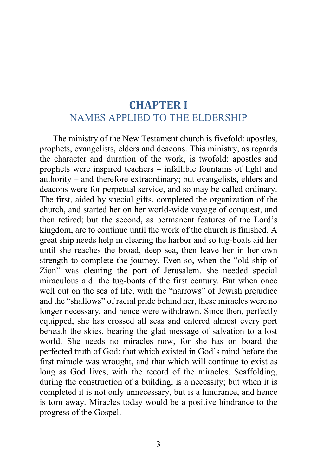# **CHAPTER I** NAMES APPLIED TO THE ELDERSHIP

The ministry of the New Testament church is fivefold: apostles, prophets, evangelists, elders and deacons. This ministry, as regards the character and duration of the work, is twofold: apostles and prophets were inspired teachers – infallible fountains of light and authority – and therefore extraordinary; but evangelists, elders and deacons were for perpetual service, and so may be called ordinary. The first, aided by special gifts, completed the organization of the church, and started her on her world-wide voyage of conquest, and then retired; but the second, as permanent features of the Lord's kingdom, are to continue until the work of the church is finished. A great ship needs help in clearing the harbor and so tug-boats aid her until she reaches the broad, deep sea, then leave her in her own strength to complete the journey. Even so, when the "old ship of Zion" was clearing the port of Jerusalem, she needed special miraculous aid: the tug-boats of the first century. But when once well out on the sea of life, with the "narrows" of Jewish prejudice and the "shallows" of racial pride behind her, these miracles were no longer necessary, and hence were withdrawn. Since then, perfectly equipped, she has crossed all seas and entered almost every port beneath the skies, bearing the glad message of salvation to a lost world. She needs no miracles now, for she has on board the perfected truth of God: that which existed in God's mind before the first miracle was wrought, and that which will continue to exist as long as God lives, with the record of the miracles. Scaffolding, during the construction of a building, is a necessity; but when it is completed it is not only unnecessary, but is a hindrance, and hence is torn away. Miracles today would be a positive hindrance to the progress of the Gospel.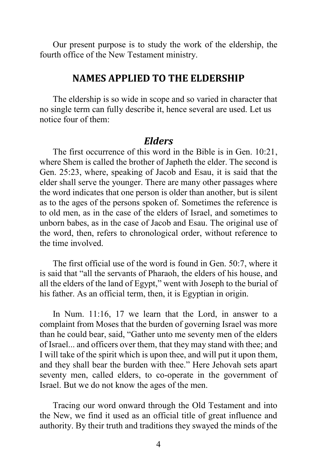Our present purpose is to study the work of the eldership, the fourth office of the New Testament ministry.

# **NAMES APPLIED TO THE ELDERSHIP**

The eldership is so wide in scope and so varied in character that no single term can fully describe it, hence several are used. Let us notice four of them:

#### *Elders*

The first occurrence of this word in the Bible is in Gen. 10:21, where Shem is called the brother of Japheth the elder. The second is Gen. 25:23, where, speaking of Jacob and Esau, it is said that the elder shall serve the younger. There are many other passages where the word indicates that one person is older than another, but is silent as to the ages of the persons spoken of. Sometimes the reference is to old men, as in the case of the elders of Israel, and sometimes to unborn babes, as in the case of Jacob and Esau. The original use of the word, then, refers to chronological order, without reference to the time involved.

The first official use of the word is found in Gen. 50:7, where it is said that "all the servants of Pharaoh, the elders of his house, and all the elders of the land of Egypt," went with Joseph to the burial of his father. As an official term, then, it is Egyptian in origin.

In Num. 11:16, 17 we learn that the Lord, in answer to a complaint from Moses that the burden of governing Israel was more than he could bear, said, "Gather unto me seventy men of the elders of Israel... and officers over them, that they may stand with thee; and I will take of the spirit which is upon thee, and will put it upon them, and they shall bear the burden with thee." Here Jehovah sets apart seventy men, called elders, to co-operate in the government of Israel. But we do not know the ages of the men.

Tracing our word onward through the Old Testament and into the New, we find it used as an official title of great influence and authority. By their truth and traditions they swayed the minds of the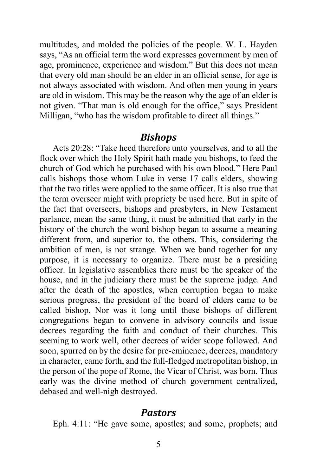multitudes, and molded the policies of the people. W. L. Hayden says, "As an official term the word expresses government by men of age, prominence, experience and wisdom." But this does not mean that every old man should be an elder in an official sense, for age is not always associated with wisdom. And often men young in years are old in wisdom. This may be the reason why the age of an elder is not given. "That man is old enough for the office," says President Milligan, "who has the wisdom profitable to direct all things."

#### *Bishops*

Acts 20:28: "Take heed therefore unto yourselves, and to all the flock over which the Holy Spirit hath made you bishops, to feed the church of God which he purchased with his own blood." Here Paul calls bishops those whom Luke in verse 17 calls elders, showing that the two titles were applied to the same officer. It is also true that the term overseer might with propriety be used here. But in spite of the fact that overseers, bishops and presbyters, in New Testament parlance, mean the same thing, it must be admitted that early in the history of the church the word bishop began to assume a meaning different from, and superior to, the others. This, considering the ambition of men, is not strange. When we band together for any purpose, it is necessary to organize. There must be a presiding officer. In legislative assemblies there must be the speaker of the house, and in the judiciary there must be the supreme judge. And after the death of the apostles, when corruption began to make serious progress, the president of the board of elders came to be called bishop. Nor was it long until these bishops of different congregations began to convene in advisory councils and issue decrees regarding the faith and conduct of their churches. This seeming to work well, other decrees of wider scope followed. And soon, spurred on by the desire for pre-eminence, decrees, mandatory in character, came forth, and the full-fledged metropolitan bishop, in the person of the pope of Rome, the Vicar of Christ, was born. Thus early was the divine method of church government centralized, debased and well-nigh destroyed.

#### *Pastors*

Eph. 4:11: "He gave some, apostles; and some, prophets; and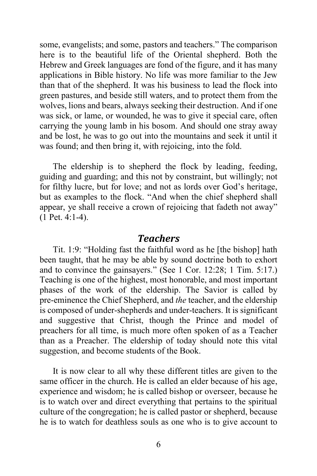some, evangelists; and some, pastors and teachers." The comparison here is to the beautiful life of the Oriental shepherd. Both the Hebrew and Greek languages are fond of the figure, and it has many applications in Bible history. No life was more familiar to the Jew than that of the shepherd. It was his business to lead the flock into green pastures, and beside still waters, and to protect them from the wolves, lions and bears, always seeking their destruction. And if one was sick, or lame, or wounded, he was to give it special care, often carrying the young lamb in his bosom. And should one stray away and be lost, he was to go out into the mountains and seek it until it was found; and then bring it, with rejoicing, into the fold.

The eldership is to shepherd the flock by leading, feeding, guiding and guarding; and this not by constraint, but willingly; not for filthy lucre, but for love; and not as lords over God's heritage, but as examples to the flock. "And when the chief shepherd shall appear, ye shall receive a crown of rejoicing that fadeth not away" (1 Pet. 4:1-4).

#### *Teachers*

Tit. 1:9: "Holding fast the faithful word as he [the bishop] hath been taught, that he may be able by sound doctrine both to exhort and to convince the gainsayers." (See 1 Cor. 12:28; 1 Tim. 5:17.) Teaching is one of the highest, most honorable, and most important phases of the work of the eldership. The Savior is called by pre-eminence the Chief Shepherd, and *the* teacher, and the eldership is composed of under-shepherds and under-teachers. It is significant and suggestive that Christ, though the Prince and model of preachers for all time, is much more often spoken of as a Teacher than as a Preacher. The eldership of today should note this vital suggestion, and become students of the Book.

It is now clear to all why these different titles are given to the same officer in the church. He is called an elder because of his age, experience and wisdom; he is called bishop or overseer, because he is to watch over and direct everything that pertains to the spiritual culture of the congregation; he is called pastor or shepherd, because he is to watch for deathless souls as one who is to give account to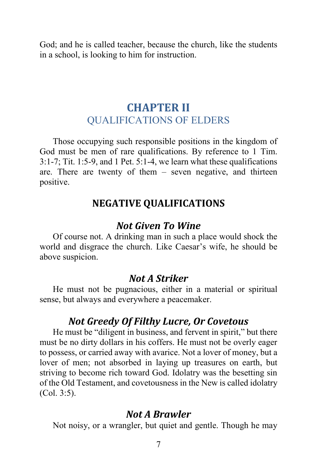God; and he is called teacher, because the church, like the students in a school, is looking to him for instruction.

# **CHAPTER II** QUALIFICATIONS OF ELDERS

Those occupying such responsible positions in the kingdom of God must be men of rare qualifications. By reference to 1 Tim. 3:1-7; Tit. 1:5-9, and 1 Pet. 5:1-4, we learn what these qualifications are. There are twenty of them – seven negative, and thirteen positive.

# **NEGATIVE QUALIFICATIONS**

# *Not Given To Wine*

Of course not. A drinking man in such a place would shock the world and disgrace the church. Like Caesar's wife, he should be above suspicion.

#### *Not A Striker*

He must not be pugnacious, either in a material or spiritual sense, but always and everywhere a peacemaker.

# *Not Greedy Of Filthy Lucre, Or Covetous*

He must be "diligent in business, and fervent in spirit," but there must be no dirty dollars in his coffers. He must not be overly eager to possess, or carried away with avarice. Not a lover of money, but a lover of men; not absorbed in laying up treasures on earth, but striving to become rich toward God. Idolatry was the besetting sin of the Old Testament, and covetousness in the New is called idolatry (Col. 3:5).

# *Not A Brawler*

Not noisy, or a wrangler, but quiet and gentle. Though he may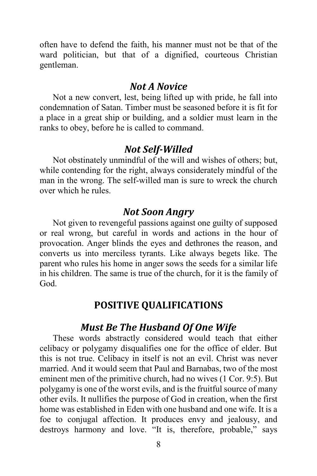often have to defend the faith, his manner must not be that of the ward politician, but that of a dignified, courteous Christian gentleman.

#### *Not A Novice*

Not a new convert, lest, being lifted up with pride, he fall into condemnation of Satan. Timber must be seasoned before it is fit for a place in a great ship or building, and a soldier must learn in the ranks to obey, before he is called to command.

# *Not Self-Willed*

Not obstinately unmindful of the will and wishes of others; but, while contending for the right, always considerately mindful of the man in the wrong. The self-willed man is sure to wreck the church over which he rules.

# *Not Soon Angry*

Not given to revengeful passions against one guilty of supposed or real wrong, but careful in words and actions in the hour of provocation. Anger blinds the eyes and dethrones the reason, and converts us into merciless tyrants. Like always begets like. The parent who rules his home in anger sows the seeds for a similar life in his children. The same is true of the church, for it is the family of God.

# **POSITIVE QUALIFICATIONS**

# *Must Be The Husband Of One Wife*

These words abstractly considered would teach that either celibacy or polygamy disqualifies one for the office of elder. But this is not true. Celibacy in itself is not an evil. Christ was never married. And it would seem that Paul and Barnabas, two of the most eminent men of the primitive church, had no wives (1 Cor. 9:5). But polygamy is one of the worst evils, and is the fruitful source of many other evils. It nullifies the purpose of God in creation, when the first home was established in Eden with one husband and one wife. It is a foe to conjugal affection. It produces envy and jealousy, and destroys harmony and love. "It is, therefore, probable," says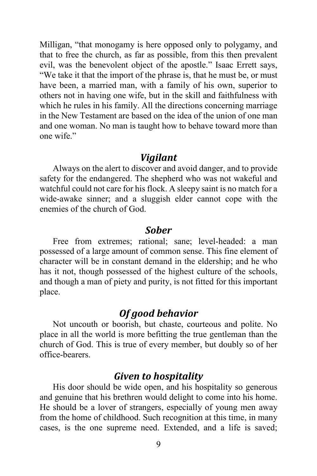Milligan, "that monogamy is here opposed only to polygamy, and that to free the church, as far as possible, from this then prevalent evil, was the benevolent object of the apostle." Isaac Errett says, "We take it that the import of the phrase is, that he must be, or must have been, a married man, with a family of his own, superior to others not in having one wife, but in the skill and faithfulness with which he rules in his family. All the directions concerning marriage in the New Testament are based on the idea of the union of one man and one woman. No man is taught how to behave toward more than one wife."

#### *Vigilant*

Always on the alert to discover and avoid danger, and to provide safety for the endangered. The shepherd who was not wakeful and watchful could not care for his flock. A sleepy saint is no match for a wide-awake sinner; and a sluggish elder cannot cope with the enemies of the church of God.

#### *Sober*

Free from extremes; rational; sane; level-headed: a man possessed of a large amount of common sense. This fine element of character will be in constant demand in the eldership; and he who has it not, though possessed of the highest culture of the schools, and though a man of piety and purity, is not fitted for this important place.

# *Of good behavior*

Not uncouth or boorish, but chaste, courteous and polite. No place in all the world is more befitting the true gentleman than the church of God. This is true of every member, but doubly so of her office-bearers.

# *Given to hospitality*

His door should be wide open, and his hospitality so generous and genuine that his brethren would delight to come into his home. He should be a lover of strangers, especially of young men away from the home of childhood. Such recognition at this time, in many cases, is the one supreme need. Extended, and a life is saved;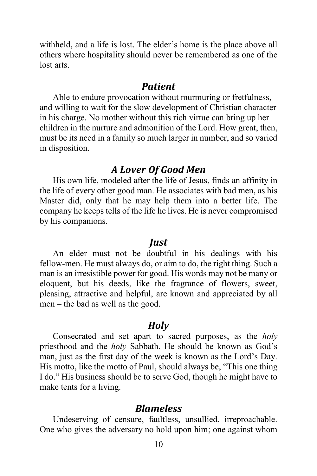withheld, and a life is lost. The elder's home is the place above all others where hospitality should never be remembered as one of the lost arts.

#### *Patient*

Able to endure provocation without murmuring or fretfulness, and willing to wait for the slow development of Christian character in his charge. No mother without this rich virtue can bring up her children in the nurture and admonition of the Lord. How great, then, must be its need in a family so much larger in number, and so varied in disposition.

# *A Lover Of Good Men*

His own life, modeled after the life of Jesus, finds an affinity in the life of every other good man. He associates with bad men, as his Master did, only that he may help them into a better life. The company he keeps tells of the life he lives. He is never compromised by his companions.

#### *Just*

An elder must not be doubtful in his dealings with his fellow-men. He must always do, or aim to do, the right thing. Such a man is an irresistible power for good. His words may not be many or eloquent, but his deeds, like the fragrance of flowers, sweet, pleasing, attractive and helpful, are known and appreciated by all men – the bad as well as the good.

# *Holy*

Consecrated and set apart to sacred purposes, as the *holy* priesthood and the *holy* Sabbath. He should be known as God's man, just as the first day of the week is known as the Lord's Day. His motto, like the motto of Paul, should always be, "This one thing I do." His business should be to serve God, though he might have to make tents for a living.

# *Blameless*

Undeserving of censure, faultless, unsullied, irreproachable. One who gives the adversary no hold upon him; one against whom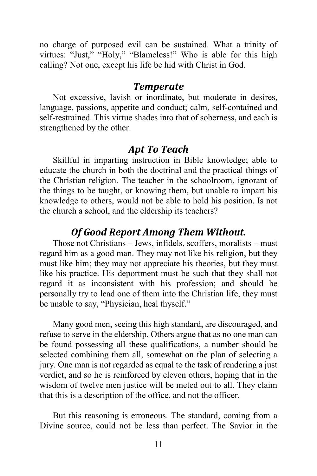no charge of purposed evil can be sustained. What a trinity of virtues: "Just," "Holy," "Blameless!" Who is able for this high calling? Not one, except his life be hid with Christ in God.

#### *Temperate*

Not excessive, lavish or inordinate, but moderate in desires, language, passions, appetite and conduct; calm, self-contained and self-restrained. This virtue shades into that of soberness, and each is strengthened by the other.

# *Apt To Teach*

Skillful in imparting instruction in Bible knowledge; able to educate the church in both the doctrinal and the practical things of the Christian religion. The teacher in the schoolroom, ignorant of the things to be taught, or knowing them, but unable to impart his knowledge to others, would not be able to hold his position. Is not the church a school, and the eldership its teachers?

# *Of Good Report Among Them Without.*

Those not Christians – Jews, infidels, scoffers, moralists – must regard him as a good man. They may not like his religion, but they must like him; they may not appreciate his theories, but they must like his practice. His deportment must be such that they shall not regard it as inconsistent with his profession; and should he personally try to lead one of them into the Christian life, they must be unable to say, "Physician, heal thyself."

Many good men, seeing this high standard, are discouraged, and refuse to serve in the eldership. Others argue that as no one man can be found possessing all these qualifications, a number should be selected combining them all, somewhat on the plan of selecting a jury. One man is not regarded as equal to the task of rendering a just verdict, and so he is reinforced by eleven others, hoping that in the wisdom of twelve men justice will be meted out to all. They claim that this is a description of the office, and not the officer.

But this reasoning is erroneous. The standard, coming from a Divine source, could not be less than perfect. The Savior in the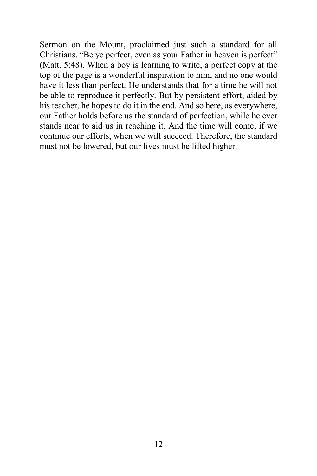Sermon on the Mount, proclaimed just such a standard for all Christians. "Be ye perfect, even as your Father in heaven is perfect" (Matt. 5:48). When a boy is learning to write, a perfect copy at the top of the page is a wonderful inspiration to him, and no one would have it less than perfect. He understands that for a time he will not be able to reproduce it perfectly. But by persistent effort, aided by his teacher, he hopes to do it in the end. And so here, as everywhere, our Father holds before us the standard of perfection, while he ever stands near to aid us in reaching it. And the time will come, if we continue our efforts, when we will succeed. Therefore, the standard must not be lowered, but our lives must be lifted higher.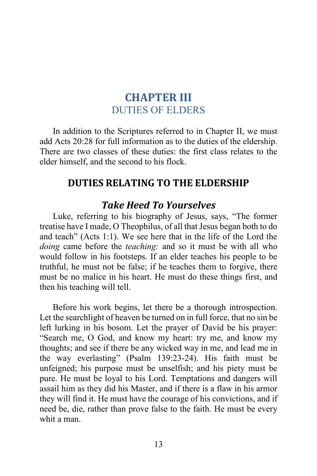# **CHAPTER III** DUTIES OF ELDERS

In addition to the Scriptures referred to in Chapter II, we must add Acts 20:28 for full information as to the duties of the eldership. There are two classes of these duties: the first class relates to the elder himself, and the second to his flock.

# **DUTIES RELATING TO THE ELDERSHIP**

# *Take Heed To Yourselves*

Luke, referring to his biography of Jesus, says, "The former treatise have I made, O Theophilus, of all that Jesus began both to do and teach" (Acts 1:1). We see here that in the life of the Lord the *doing* came before the *teaching:* and so it must be with all who would follow in his footsteps. If an elder teaches his people to be truthful, he must not be false; if he teaches them to forgive, there must be no malice in his heart. He must do these things first, and then his teaching will tell.

Before his work begins, let there be a thorough introspection. Let the searchlight of heaven be turned on in full force, that no sin be left lurking in his bosom. Let the prayer of David be his prayer: "Search me, O God, and know my heart: try me, and know my thoughts; and see if there be any wicked way in me, and lead me in the way everlasting" (Psalm 139:23-24). His faith must be unfeigned; his purpose must be unselfish; and his piety must be pure. He must be loyal to his Lord. Temptations and dangers will assail him as they did his Master, and if there is a flaw in his armor they will find it. He must have the courage of his convictions, and if need be, die, rather than prove false to the faith. He must be every whit a man.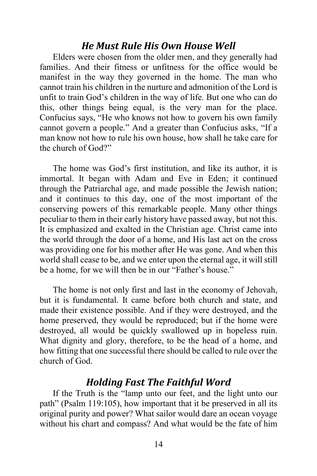# *He Must Rule His Own House Well*

Elders were chosen from the older men, and they generally had families. And their fitness or unfitness for the office would be manifest in the way they governed in the home. The man who cannot train his children in the nurture and admonition of the Lord is unfit to train God's children in the way of life. But one who can do this, other things being equal, is the very man for the place. Confucius says, "He who knows not how to govern his own family cannot govern a people." And a greater than Confucius asks, "If a man know not how to rule his own house, how shall he take care for the church of God?"

The home was God's first institution, and like its author, it is immortal. It began with Adam and Eve in Eden; it continued through the Patriarchal age, and made possible the Jewish nation; and it continues to this day, one of the most important of the conserving powers of this remarkable people. Many other things peculiar to them in their early history have passed away, but not this. It is emphasized and exalted in the Christian age. Christ came into the world through the door of a home, and His last act on the cross was providing one for his mother after He was gone. And when this world shall cease to be, and we enter upon the eternal age, it will still be a home, for we will then be in our "Father's house."

The home is not only first and last in the economy of Jehovah, but it is fundamental. It came before both church and state, and made their existence possible. And if they were destroyed, and the home preserved, they would be reproduced; but if the home were destroyed, all would be quickly swallowed up in hopeless ruin. What dignity and glory, therefore, to be the head of a home, and how fitting that one successful there should be called to rule over the church of God.

#### *Holding Fast The Faithful Word*

If the Truth is the "lamp unto our feet, and the light unto our path" (Psalm 119:105), how important that it be preserved in all its original purity and power? What sailor would dare an ocean voyage without his chart and compass? And what would be the fate of him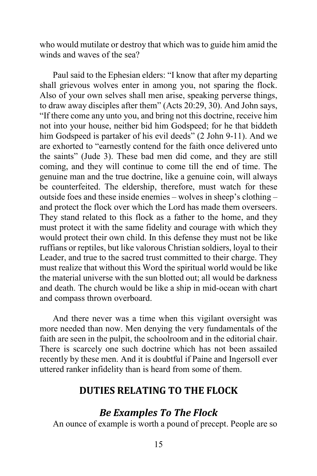who would mutilate or destroy that which was to guide him amid the winds and waves of the sea?

Paul said to the Ephesian elders: "I know that after my departing shall grievous wolves enter in among you, not sparing the flock. Also of your own selves shall men arise, speaking perverse things, to draw away disciples after them" (Acts 20:29, 30). And John says, "If there come any unto you, and bring not this doctrine, receive him not into your house, neither bid him Godspeed; for he that biddeth him Godspeed is partaker of his evil deeds" (2 John 9-11). And we are exhorted to "earnestly contend for the faith once delivered unto the saints" (Jude 3). These bad men did come, and they are still coming, and they will continue to come till the end of time. The genuine man and the true doctrine, like a genuine coin, will always be counterfeited. The eldership, therefore, must watch for these outside foes and these inside enemies – wolves in sheep's clothing – and protect the flock over which the Lord has made them overseers. They stand related to this flock as a father to the home, and they must protect it with the same fidelity and courage with which they would protect their own child. In this defense they must not be like ruffians or reptiles, but like valorous Christian soldiers, loyal to their Leader, and true to the sacred trust committed to their charge. They must realize that without this Word the spiritual world would be like the material universe with the sun blotted out; all would be darkness and death. The church would be like a ship in mid-ocean with chart and compass thrown overboard.

And there never was a time when this vigilant oversight was more needed than now. Men denying the very fundamentals of the faith are seen in the pulpit, the schoolroom and in the editorial chair. There is scarcely one such doctrine which has not been assailed recently by these men. And it is doubtful if Paine and Ingersoll ever uttered ranker infidelity than is heard from some of them.

# **DUTIES RELATING TO THE FLOCK**

# *Be Examples To The Flock*

An ounce of example is worth a pound of precept. People are so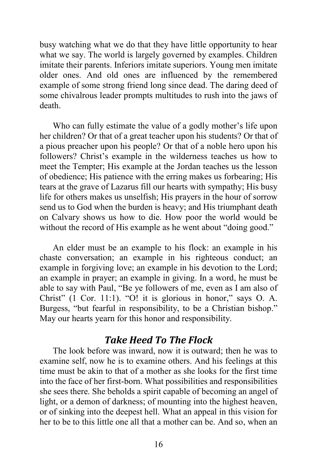busy watching what we do that they have little opportunity to hear what we say. The world is largely governed by examples. Children imitate their parents. Inferiors imitate superiors. Young men imitate older ones. And old ones are influenced by the remembered example of some strong friend long since dead. The daring deed of some chivalrous leader prompts multitudes to rush into the jaws of death.

Who can fully estimate the value of a godly mother's life upon her children? Or that of a great teacher upon his students? Or that of a pious preacher upon his people? Or that of a noble hero upon his followers? Christ's example in the wilderness teaches us how to meet the Tempter; His example at the Jordan teaches us the lesson of obedience; His patience with the erring makes us forbearing; His tears at the grave of Lazarus fill our hearts with sympathy; His busy life for others makes us unselfish; His prayers in the hour of sorrow send us to God when the burden is heavy; and His triumphant death on Calvary shows us how to die. How poor the world would be without the record of His example as he went about "doing good."

An elder must be an example to his flock: an example in his chaste conversation; an example in his righteous conduct; an example in forgiving love; an example in his devotion to the Lord; an example in prayer; an example in giving. In a word, he must be able to say with Paul, "Be ye followers of me, even as I am also of Christ" (1 Cor. 11:1). "O! it is glorious in honor," says O. A. Burgess, "but fearful in responsibility, to be a Christian bishop." May our hearts yearn for this honor and responsibility.

# *Take Heed To The Flock*

The look before was inward, now it is outward; then he was to examine self, now he is to examine others. And his feelings at this time must be akin to that of a mother as she looks for the first time into the face of her first-born. What possibilities and responsibilities she sees there. She beholds a spirit capable of becoming an angel of light, or a demon of darkness; of mounting into the highest heaven, or of sinking into the deepest hell. What an appeal in this vision for her to be to this little one all that a mother can be. And so, when an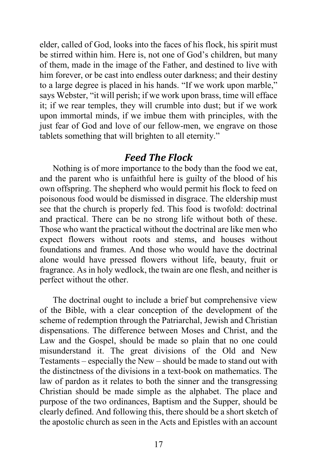elder, called of God, looks into the faces of his flock, his spirit must be stirred within him. Here is, not one of God's children, but many of them, made in the image of the Father, and destined to live with him forever, or be cast into endless outer darkness; and their destiny to a large degree is placed in his hands. "If we work upon marble," says Webster, "it will perish; if we work upon brass, time will efface it; if we rear temples, they will crumble into dust; but if we work upon immortal minds, if we imbue them with principles, with the just fear of God and love of our fellow-men, we engrave on those tablets something that will brighten to all eternity."

#### *Feed The Flock*

Nothing is of more importance to the body than the food we eat, and the parent who is unfaithful here is guilty of the blood of his own offspring. The shepherd who would permit his flock to feed on poisonous food would be dismissed in disgrace. The eldership must see that the church is properly fed. This food is twofold: doctrinal and practical. There can be no strong life without both of these. Those who want the practical without the doctrinal are like men who expect flowers without roots and stems, and houses without foundations and frames. And those who would have the doctrinal alone would have pressed flowers without life, beauty, fruit or fragrance. As in holy wedlock, the twain are one flesh, and neither is perfect without the other.

The doctrinal ought to include a brief but comprehensive view of the Bible, with a clear conception of the development of the scheme of redemption through the Patriarchal, Jewish and Christian dispensations. The difference between Moses and Christ, and the Law and the Gospel, should be made so plain that no one could misunderstand it. The great divisions of the Old and New Testaments – especially the New – should be made to stand out with the distinctness of the divisions in a text-book on mathematics. The law of pardon as it relates to both the sinner and the transgressing Christian should be made simple as the alphabet. The place and purpose of the two ordinances, Baptism and the Supper, should be clearly defined. And following this, there should be a short sketch of the apostolic church as seen in the Acts and Epistles with an account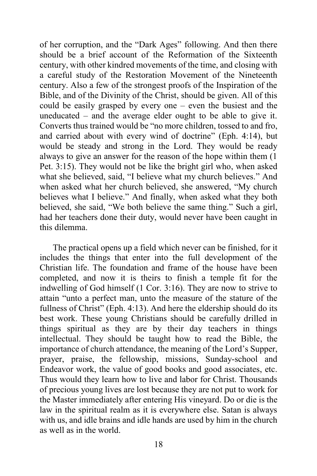of her corruption, and the "Dark Ages" following. And then there should be a brief account of the Reformation of the Sixteenth century, with other kindred movements of the time, and closing with a careful study of the Restoration Movement of the Nineteenth century. Also a few of the strongest proofs of the Inspiration of the Bible, and of the Divinity of the Christ, should be given. All of this could be easily grasped by every one – even the busiest and the uneducated – and the average elder ought to be able to give it. Converts thus trained would be "no more children, tossed to and fro, and carried about with every wind of doctrine" (Eph. 4:14), but would be steady and strong in the Lord. They would be ready always to give an answer for the reason of the hope within them (1 Pet. 3:15). They would not be like the bright girl who, when asked what she believed, said, "I believe what my church believes." And when asked what her church believed, she answered, "My church believes what I believe." And finally, when asked what they both believed, she said, "We both believe the same thing." Such a girl, had her teachers done their duty, would never have been caught in this dilemma.

The practical opens up a field which never can be finished, for it includes the things that enter into the full development of the Christian life. The foundation and frame of the house have been completed, and now it is theirs to finish a temple fit for the indwelling of God himself (1 Cor. 3:16). They are now to strive to attain "unto a perfect man, unto the measure of the stature of the fullness of Christ" (Eph. 4:13). And here the eldership should do its best work. These young Christians should be carefully drilled in things spiritual as they are by their day teachers in things intellectual. They should be taught how to read the Bible, the importance of church attendance, the meaning of the Lord's Supper, prayer, praise, the fellowship, missions, Sunday-school and Endeavor work, the value of good books and good associates, etc. Thus would they learn how to live and labor for Christ. Thousands of precious young lives are lost because they are not put to work for the Master immediately after entering His vineyard. Do or die is the law in the spiritual realm as it is everywhere else. Satan is always with us, and idle brains and idle hands are used by him in the church as well as in the world.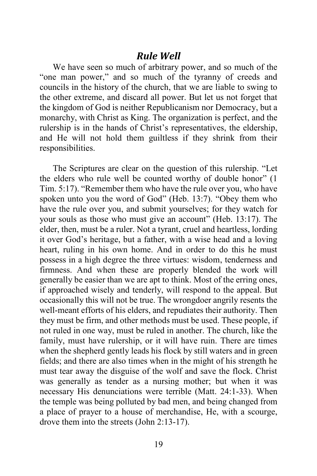#### *Rule Well*

We have seen so much of arbitrary power, and so much of the "one man power," and so much of the tyranny of creeds and councils in the history of the church, that we are liable to swing to the other extreme, and discard all power. But let us not forget that the kingdom of God is neither Republicanism nor Democracy, but a monarchy, with Christ as King. The organization is perfect, and the rulership is in the hands of Christ's representatives, the eldership, and He will not hold them guiltless if they shrink from their responsibilities.

The Scriptures are clear on the question of this rulership. "Let the elders who rule well be counted worthy of double honor" (1 Tim. 5:17). "Remember them who have the rule over you, who have spoken unto you the word of God" (Heb. 13:7). "Obey them who have the rule over you, and submit yourselves; for they watch for your souls as those who must give an account" (Heb. 13:17). The elder, then, must be a ruler. Not a tyrant, cruel and heartless, lording it over God's heritage, but a father, with a wise head and a loving heart, ruling in his own home. And in order to do this he must possess in a high degree the three virtues: wisdom, tenderness and firmness. And when these are properly blended the work will generally be easier than we are apt to think. Most of the erring ones, if approached wisely and tenderly, will respond to the appeal. But occasionally this will not be true. The wrongdoer angrily resents the well-meant efforts of his elders, and repudiates their authority. Then they must be firm, and other methods must be used. These people, if not ruled in one way, must be ruled in another. The church, like the family, must have rulership, or it will have ruin. There are times when the shepherd gently leads his flock by still waters and in green fields; and there are also times when in the might of his strength he must tear away the disguise of the wolf and save the flock. Christ was generally as tender as a nursing mother; but when it was necessary His denunciations were terrible (Matt. 24:1-33). When the temple was being polluted by bad men, and being changed from a place of prayer to a house of merchandise, He, with a scourge, drove them into the streets (John 2:13-17).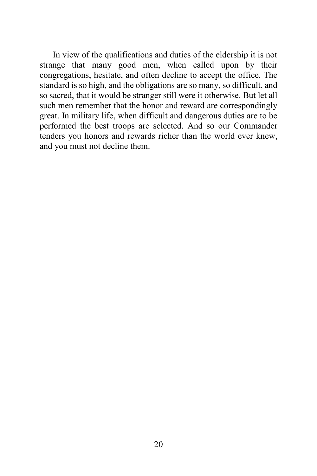In view of the qualifications and duties of the eldership it is not strange that many good men, when called upon by their congregations, hesitate, and often decline to accept the office. The standard is so high, and the obligations are so many, so difficult, and so sacred, that it would be stranger still were it otherwise. But let all such men remember that the honor and reward are correspondingly great. In military life, when difficult and dangerous duties are to be performed the best troops are selected. And so our Commander tenders you honors and rewards richer than the world ever knew, and you must not decline them.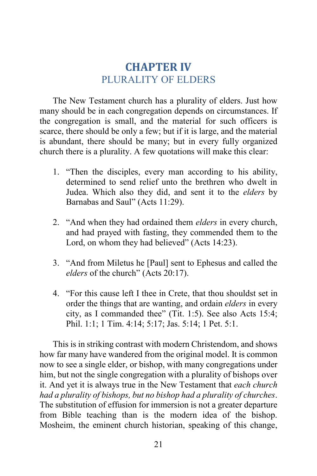# **CHAPTER IV** PLURALITY OF ELDERS

The New Testament church has a plurality of elders. Just how many should be in each congregation depends on circumstances. If the congregation is small, and the material for such officers is scarce, there should be only a few; but if it is large, and the material is abundant, there should be many; but in every fully organized church there is a plurality. A few quotations will make this clear:

- 1. "Then the disciples, every man according to his ability, determined to send relief unto the brethren who dwelt in Judea. Which also they did, and sent it to the *elders* by Barnabas and Saul" (Acts 11:29).
- 2. "And when they had ordained them *elders* in every church, and had prayed with fasting, they commended them to the Lord, on whom they had believed" (Acts 14:23).
- 3. "And from Miletus he [Paul] sent to Ephesus and called the *elders* of the church" (Acts 20:17).
- 4. "For this cause left I thee in Crete, that thou shouldst set in order the things that are wanting, and ordain *elders* in every city, as I commanded thee" (Tit. 1:5). See also Acts 15:4; Phil. 1:1; 1 Tim. 4:14; 5:17; Jas. 5:14; 1 Pet. 5:1.

This is in striking contrast with modern Christendom, and shows how far many have wandered from the original model. It is common now to see a single elder, or bishop, with many congregations under him, but not the single congregation with a plurality of bishops over it. And yet it is always true in the New Testament that *each church had a plurality of bishops, but no bishop had a plurality of churches*. The substitution of effusion for immersion is not a greater departure from Bible teaching than is the modern idea of the bishop. Mosheim, the eminent church historian, speaking of this change,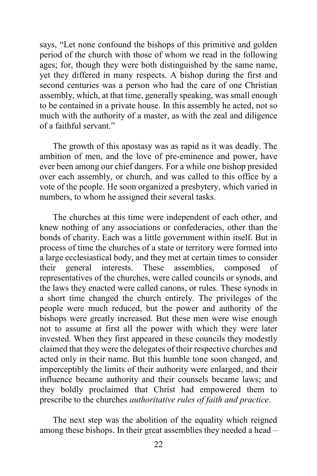says, "Let none confound the bishops of this primitive and golden period of the church with those of whom we read in the following ages; for, though they were both distinguished by the same name, yet they differed in many respects. A bishop during the first and second centuries was a person who had the care of one Christian assembly, which, at that time, generally speaking, was small enough to be contained in a private house. In this assembly he acted, not so much with the authority of a master, as with the zeal and diligence of a faithful servant."

The growth of this apostasy was as rapid as it was deadly. The ambition of men, and the love of pre-eminence and power, have ever been among our chief dangers. For a while one bishop presided over each assembly, or church, and was called to this office by a vote of the people. He soon organized a presbytery, which varied in numbers, to whom he assigned their several tasks.

The churches at this time were independent of each other, and knew nothing of any associations or confederacies, other than the bonds of charity. Each was a little government within itself. But in process of time the churches of a state or territory were formed into a large ecclesiastical body, and they met at certain times to consider their general interests. These assemblies, composed of representatives of the churches, were called councils or synods, and the laws they enacted were called canons, or rules. These synods in a short time changed the church entirely. The privileges of the people were much reduced, but the power and authority of the bishops were greatly increased. But these men were wise enough not to assume at first all the power with which they were later invested. When they first appeared in these councils they modestly claimed that they were the delegates of their respective churches and acted only in their name. But this humble tone soon changed, and imperceptibly the limits of their authority were enlarged, and their influence became authority and their counsels became laws; and they boldly proclaimed that Christ had empowered them to prescribe to the churches *authoritative rules of faith and practice*.

The next step was the abolition of the equality which reigned among these bishops. In their great assemblies they needed a head –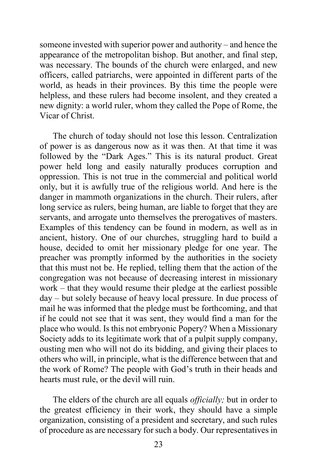someone invested with superior power and authority – and hence the appearance of the metropolitan bishop. But another, and final step, was necessary. The bounds of the church were enlarged, and new officers, called patriarchs, were appointed in different parts of the world, as heads in their provinces. By this time the people were helpless, and these rulers had become insolent, and they created a new dignity: a world ruler, whom they called the Pope of Rome, the Vicar of Christ.

The church of today should not lose this lesson. Centralization of power is as dangerous now as it was then. At that time it was followed by the "Dark Ages." This is its natural product. Great power held long and easily naturally produces corruption and oppression. This is not true in the commercial and political world only, but it is awfully true of the religious world. And here is the danger in mammoth organizations in the church. Their rulers, after long service as rulers, being human, are liable to forget that they are servants, and arrogate unto themselves the prerogatives of masters. Examples of this tendency can be found in modern, as well as in ancient, history. One of our churches, struggling hard to build a house, decided to omit her missionary pledge for one year. The preacher was promptly informed by the authorities in the society that this must not be. He replied, telling them that the action of the congregation was not because of decreasing interest in missionary work – that they would resume their pledge at the earliest possible day – but solely because of heavy local pressure. In due process of mail he was informed that the pledge must be forthcoming, and that if he could not see that it was sent, they would find a man for the place who would. Is this not embryonic Popery? When a Missionary Society adds to its legitimate work that of a pulpit supply company, ousting men who will not do its bidding, and giving their places to others who will, in principle, what is the difference between that and the work of Rome? The people with God's truth in their heads and hearts must rule, or the devil will ruin.

The elders of the church are all equals *officially;* but in order to the greatest efficiency in their work, they should have a simple organization, consisting of a president and secretary, and such rules of procedure as are necessary for such a body. Our representatives in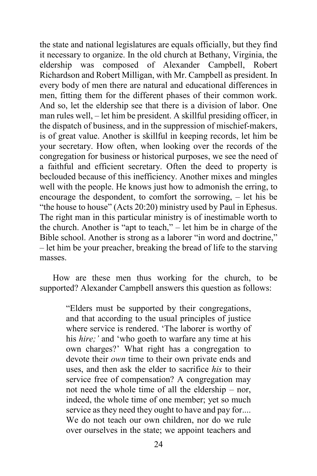the state and national legislatures are equals officially, but they find it necessary to organize. In the old church at Bethany, Virginia, the eldership was composed of Alexander Campbell, Robert Richardson and Robert Milligan, with Mr. Campbell as president. In every body of men there are natural and educational differences in men, fitting them for the different phases of their common work. And so, let the eldership see that there is a division of labor. One man rules well, – let him be president. A skillful presiding officer, in the dispatch of business, and in the suppression of mischief-makers, is of great value. Another is skillful in keeping records, let him be your secretary. How often, when looking over the records of the congregation for business or historical purposes, we see the need of a faithful and efficient secretary. Often the deed to property is beclouded because of this inefficiency. Another mixes and mingles well with the people. He knows just how to admonish the erring, to encourage the despondent, to comfort the sorrowing, – let his be "the house to house" (Acts 20:20) ministry used by Paul in Ephesus. The right man in this particular ministry is of inestimable worth to the church. Another is "apt to teach," – let him be in charge of the Bible school. Another is strong as a laborer "in word and doctrine," – let him be your preacher, breaking the bread of life to the starving masses.

How are these men thus working for the church, to be supported? Alexander Campbell answers this question as follows:

> "Elders must be supported by their congregations, and that according to the usual principles of justice where service is rendered. 'The laborer is worthy of his *hire;'* and 'who goeth to warfare any time at his own charges?' What right has a congregation to devote their *own* time to their own private ends and uses, and then ask the elder to sacrifice *his* to their service free of compensation? A congregation may not need the whole time of all the eldership – nor, indeed, the whole time of one member; yet so much service as they need they ought to have and pay for.... We do not teach our own children, nor do we rule over ourselves in the state; we appoint teachers and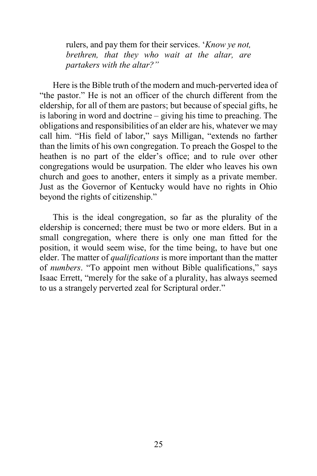rulers, and pay them for their services. '*Know ye not, brethren, that they who wait at the altar, are partakers with the altar?"*

Here is the Bible truth of the modern and much-perverted idea of "the pastor." He is not an officer of the church different from the eldership, for all of them are pastors; but because of special gifts, he is laboring in word and doctrine – giving his time to preaching. The obligations and responsibilities of an elder are his, whatever we may call him. "His field of labor," says Milligan, "extends no farther than the limits of his own congregation. To preach the Gospel to the heathen is no part of the elder's office; and to rule over other congregations would be usurpation. The elder who leaves his own church and goes to another, enters it simply as a private member. Just as the Governor of Kentucky would have no rights in Ohio beyond the rights of citizenship."

This is the ideal congregation, so far as the plurality of the eldership is concerned; there must be two or more elders. But in a small congregation, where there is only one man fitted for the position, it would seem wise, for the time being, to have but one elder. The matter of *qualifications* is more important than the matter of *numbers*. "To appoint men without Bible qualifications," says Isaac Errett, "merely for the sake of a plurality, has always seemed to us a strangely perverted zeal for Scriptural order."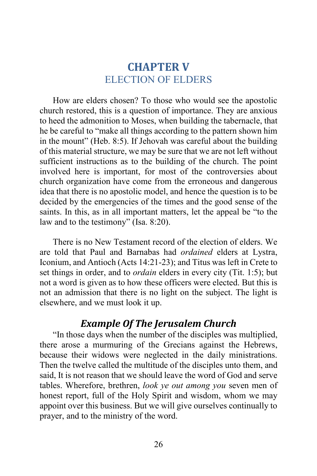# **CHAPTER V** ELECTION OF ELDERS

How are elders chosen? To those who would see the apostolic church restored, this is a question of importance. They are anxious to heed the admonition to Moses, when building the tabernacle, that he be careful to "make all things according to the pattern shown him in the mount" (Heb. 8:5). If Jehovah was careful about the building of this material structure, we may be sure that we are not left without sufficient instructions as to the building of the church. The point involved here is important, for most of the controversies about church organization have come from the erroneous and dangerous idea that there is no apostolic model, and hence the question is to be decided by the emergencies of the times and the good sense of the saints. In this, as in all important matters, let the appeal be "to the law and to the testimony" (Isa. 8:20).

There is no New Testament record of the election of elders. We are told that Paul and Barnabas had *ordained* elders at Lystra, Iconium, and Antioch (Acts 14:21-23); and Titus was left in Crete to set things in order, and to *ordain* elders in every city (Tit. 1:5); but not a word is given as to how these officers were elected. But this is not an admission that there is no light on the subject. The light is elsewhere, and we must look it up.

# *Example Of The Jerusalem Church*

"In those days when the number of the disciples was multiplied, there arose a murmuring of the Grecians against the Hebrews, because their widows were neglected in the daily ministrations. Then the twelve called the multitude of the disciples unto them, and said, It is not reason that we should leave the word of God and serve tables. Wherefore, brethren, *look ye out among you* seven men of honest report, full of the Holy Spirit and wisdom, whom we may appoint over this business. But we will give ourselves continually to prayer, and to the ministry of the word.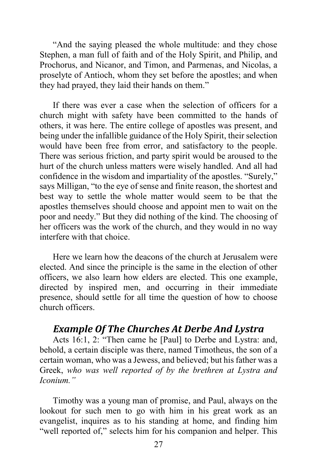"And the saying pleased the whole multitude: and they chose Stephen, a man full of faith and of the Holy Spirit, and Philip, and Prochorus, and Nicanor, and Timon, and Parmenas, and Nicolas, a proselyte of Antioch, whom they set before the apostles; and when they had prayed, they laid their hands on them."

If there was ever a case when the selection of officers for a church might with safety have been committed to the hands of others, it was here. The entire college of apostles was present, and being under the infallible guidance of the Holy Spirit, their selection would have been free from error, and satisfactory to the people. There was serious friction, and party spirit would be aroused to the hurt of the church unless matters were wisely handled. And all had confidence in the wisdom and impartiality of the apostles. "Surely," says Milligan, "to the eye of sense and finite reason, the shortest and best way to settle the whole matter would seem to be that the apostles themselves should choose and appoint men to wait on the poor and needy." But they did nothing of the kind. The choosing of her officers was the work of the church, and they would in no way interfere with that choice.

Here we learn how the deacons of the church at Jerusalem were elected. And since the principle is the same in the election of other officers, we also learn how elders are elected. This one example, directed by inspired men, and occurring in their immediate presence, should settle for all time the question of how to choose church officers.

# *Example Of The Churches At Derbe And Lystra*

Acts 16:1, 2: "Then came he [Paul] to Derbe and Lystra: and, behold, a certain disciple was there, named Timotheus, the son of a certain woman, who was a Jewess, and believed; but his father was a Greek, *who was well reported of by the brethren at Lystra and Iconium."*

Timothy was a young man of promise, and Paul, always on the lookout for such men to go with him in his great work as an evangelist, inquires as to his standing at home, and finding him "well reported of," selects him for his companion and helper. This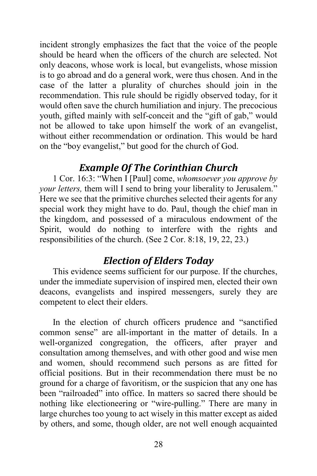incident strongly emphasizes the fact that the voice of the people should be heard when the officers of the church are selected. Not only deacons, whose work is local, but evangelists, whose mission is to go abroad and do a general work, were thus chosen. And in the case of the latter a plurality of churches should join in the recommendation. This rule should be rigidly observed today, for it would often save the church humiliation and injury. The precocious youth, gifted mainly with self-conceit and the "gift of gab," would not be allowed to take upon himself the work of an evangelist, without either recommendation or ordination. This would be hard on the "boy evangelist," but good for the church of God.

# *Example Of The Corinthian Church*

1 Cor. 16:3: "When I [Paul] come, *whomsoever you approve by your letters,* them will I send to bring your liberality to Jerusalem." Here we see that the primitive churches selected their agents for any special work they might have to do. Paul, though the chief man in the kingdom, and possessed of a miraculous endowment of the Spirit, would do nothing to interfere with the rights and responsibilities of the church. (See 2 Cor. 8:18, 19, 22, 23.)

# *Election of Elders Today*

This evidence seems sufficient for our purpose. If the churches, under the immediate supervision of inspired men, elected their own deacons, evangelists and inspired messengers, surely they are competent to elect their elders.

In the election of church officers prudence and "sanctified common sense" are all-important in the matter of details. In a well-organized congregation, the officers, after prayer and consultation among themselves, and with other good and wise men and women, should recommend such persons as are fitted for official positions. But in their recommendation there must be no ground for a charge of favoritism, or the suspicion that any one has been "railroaded" into office. In matters so sacred there should be nothing like electioneering or "wire-pulling." There are many in large churches too young to act wisely in this matter except as aided by others, and some, though older, are not well enough acquainted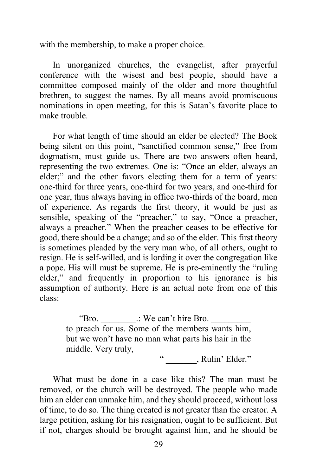with the membership, to make a proper choice.

In unorganized churches, the evangelist, after prayerful conference with the wisest and best people, should have a committee composed mainly of the older and more thoughtful brethren, to suggest the names. By all means avoid promiscuous nominations in open meeting, for this is Satan's favorite place to make trouble.

For what length of time should an elder be elected? The Book being silent on this point, "sanctified common sense," free from dogmatism, must guide us. There are two answers often heard, representing the two extremes. One is: "Once an elder, always an elder;" and the other favors electing them for a term of years: one-third for three years, one-third for two years, and one-third for one year, thus always having in office two-thirds of the board, men of experience. As regards the first theory, it would be just as sensible, speaking of the "preacher," to say, "Once a preacher, always a preacher." When the preacher ceases to be effective for good, there should be a change; and so of the elder. This first theory is sometimes pleaded by the very man who, of all others, ought to resign. He is self-willed, and is lording it over the congregation like a pope. His will must be supreme. He is pre-eminently the "ruling elder," and frequently in proportion to his ignorance is his assumption of authority. Here is an actual note from one of this class:

> "Bro. \_\_\_\_\_\_\_\_.: We can't hire Bro. \_\_\_\_\_\_\_\_\_ to preach for us. Some of the members wants him, but we won't have no man what parts his hair in the middle. Very truly,

" ... Rulin' Elder."

What must be done in a case like this? The man must be removed, or the church will be destroyed. The people who made him an elder can unmake him, and they should proceed, without loss of time, to do so. The thing created is not greater than the creator. A large petition, asking for his resignation, ought to be sufficient. But if not, charges should be brought against him, and he should be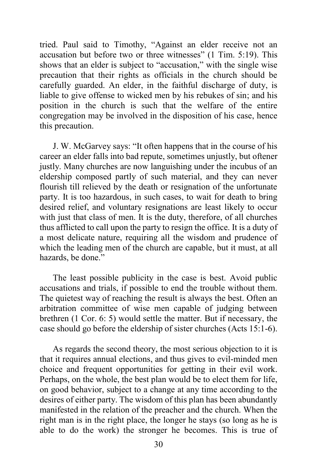tried. Paul said to Timothy, "Against an elder receive not an accusation but before two or three witnesses" (1 Tim. 5:19). This shows that an elder is subject to "accusation," with the single wise precaution that their rights as officials in the church should be carefully guarded. An elder, in the faithful discharge of duty, is liable to give offense to wicked men by his rebukes of sin; and his position in the church is such that the welfare of the entire congregation may be involved in the disposition of his case, hence this precaution.

J. W. McGarvey says: "It often happens that in the course of his career an elder falls into bad repute, sometimes unjustly, but oftener justly. Many churches are now languishing under the incubus of an eldership composed partly of such material, and they can never flourish till relieved by the death or resignation of the unfortunate party. It is too hazardous, in such cases, to wait for death to bring desired relief, and voluntary resignations are least likely to occur with just that class of men. It is the duty, therefore, of all churches thus afflicted to call upon the party to resign the office. It is a duty of a most delicate nature, requiring all the wisdom and prudence of which the leading men of the church are capable, but it must, at all hazards, be done."

The least possible publicity in the case is best. Avoid public accusations and trials, if possible to end the trouble without them. The quietest way of reaching the result is always the best. Often an arbitration committee of wise men capable of judging between brethren (1 Cor. 6: 5) would settle the matter. But if necessary, the case should go before the eldership of sister churches (Acts 15:1-6).

As regards the second theory, the most serious objection to it is that it requires annual elections, and thus gives to evil-minded men choice and frequent opportunities for getting in their evil work. Perhaps, on the whole, the best plan would be to elect them for life, on good behavior, subject to a change at any time according to the desires of either party. The wisdom of this plan has been abundantly manifested in the relation of the preacher and the church. When the right man is in the right place, the longer he stays (so long as he is able to do the work) the stronger he becomes. This is true of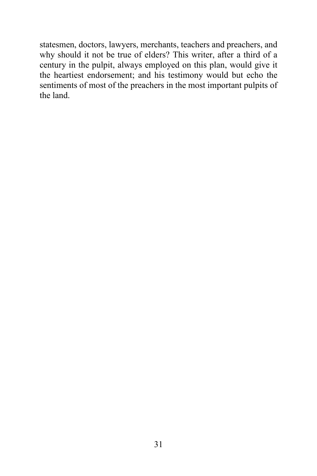statesmen, doctors, lawyers, merchants, teachers and preachers, and why should it not be true of elders? This writer, after a third of a century in the pulpit, always employed on this plan, would give it the heartiest endorsement; and his testimony would but echo the sentiments of most of the preachers in the most important pulpits of the land.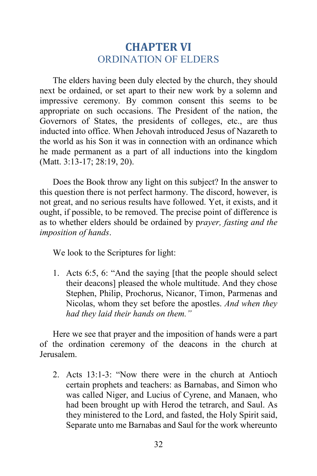# **CHAPTER VI** ORDINATION OF ELDERS

The elders having been duly elected by the church, they should next be ordained, or set apart to their new work by a solemn and impressive ceremony. By common consent this seems to be appropriate on such occasions. The President of the nation, the Governors of States, the presidents of colleges, etc., are thus inducted into office. When Jehovah introduced Jesus of Nazareth to the world as his Son it was in connection with an ordinance which he made permanent as a part of all inductions into the kingdom (Matt. 3:13-17; 28:19, 20).

Does the Book throw any light on this subject? In the answer to this question there is not perfect harmony. The discord, however, is not great, and no serious results have followed. Yet, it exists, and it ought, if possible, to be removed. The precise point of difference is as to whether elders should be ordained by p*rayer, fasting and the imposition of hands*.

We look to the Scriptures for light:

1. Acts 6:5, 6: "And the saying [that the people should select their deacons] pleased the whole multitude. And they chose Stephen, Philip, Prochorus, Nicanor, Timon, Parmenas and Nicolas, whom they set before the apostles. *And when they had they laid their hands on them."*

Here we see that prayer and the imposition of hands were a part of the ordination ceremony of the deacons in the church at Jerusalem.

2. Acts 13:1-3: "Now there were in the church at Antioch certain prophets and teachers: as Barnabas, and Simon who was called Niger, and Lucius of Cyrene, and Manaen, who had been brought up with Herod the tetrarch, and Saul. As they ministered to the Lord, and fasted, the Holy Spirit said, Separate unto me Barnabas and Saul for the work whereunto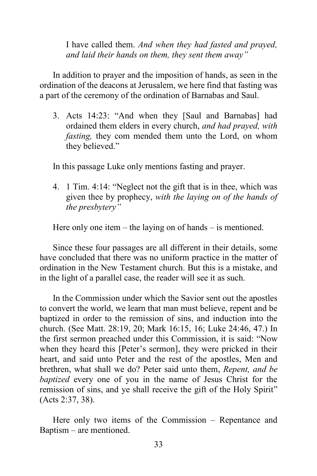I have called them. *And when they had fasted and prayed, and laid their hands on them, they sent them away"*

In addition to prayer and the imposition of hands, as seen in the ordination of the deacons at Jerusalem, we here find that fasting was a part of the ceremony of the ordination of Barnabas and Saul.

3. Acts 14:23: "And when they [Saul and Barnabas] had ordained them elders in every church, *and had prayed, with fasting,* they com mended them unto the Lord, on whom they believed."

In this passage Luke only mentions fasting and prayer.

4. 1 Tim. 4:14: "Neglect not the gift that is in thee, which was given thee by prophecy, *with the laying on of the hands of the presbytery"*

Here only one item – the laying on of hands – is mentioned.

Since these four passages are all different in their details, some have concluded that there was no uniform practice in the matter of ordination in the New Testament church. But this is a mistake, and in the light of a parallel case, the reader will see it as such.

In the Commission under which the Savior sent out the apostles to convert the world, we learn that man must believe, repent and be baptized in order to the remission of sins, and induction into the church. (See Matt. 28:19, 20; Mark 16:15, 16; Luke 24:46, 47.) In the first sermon preached under this Commission, it is said: "Now when they heard this [Peter's sermon], they were pricked in their heart, and said unto Peter and the rest of the apostles, Men and brethren, what shall we do? Peter said unto them, *Repent, and be baptized* every one of you in the name of Jesus Christ for the remission of sins, and ye shall receive the gift of the Holy Spirit" (Acts 2:37, 38).

Here only two items of the Commission – Repentance and Baptism – are mentioned.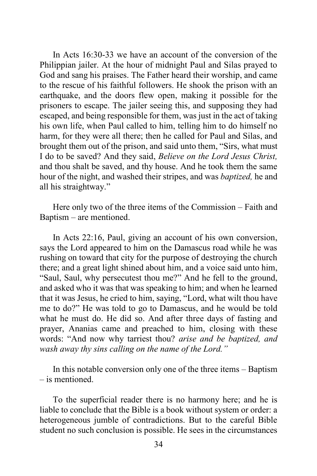In Acts 16:30-33 we have an account of the conversion of the Philippian jailer. At the hour of midnight Paul and Silas prayed to God and sang his praises. The Father heard their worship, and came to the rescue of his faithful followers. He shook the prison with an earthquake, and the doors flew open, making it possible for the prisoners to escape. The jailer seeing this, and supposing they had escaped, and being responsible for them, was just in the act of taking his own life, when Paul called to him, telling him to do himself no harm, for they were all there; then he called for Paul and Silas, and brought them out of the prison, and said unto them, "Sirs, what must I do to be saved? And they said, *Believe on the Lord Jesus Christ,* and thou shalt be saved, and thy house. And he took them the same hour of the night, and washed their stripes, and was *baptized,* he and all his straightway."

Here only two of the three items of the Commission – Faith and Baptism – are mentioned.

In Acts 22:16, Paul, giving an account of his own conversion, says the Lord appeared to him on the Damascus road while he was rushing on toward that city for the purpose of destroying the church there; and a great light shined about him, and a voice said unto him, "Saul, Saul, why persecutest thou me?" And he fell to the ground, and asked who it was that was speaking to him; and when he learned that it was Jesus, he cried to him, saying, "Lord, what wilt thou have me to do?" He was told to go to Damascus, and he would be told what he must do. He did so. And after three days of fasting and prayer, Ananias came and preached to him, closing with these words: "And now why tarriest thou? *arise and be baptized, and wash away thy sins calling on the name of the Lord."*

In this notable conversion only one of the three items – Baptism – is mentioned.

To the superficial reader there is no harmony here; and he is liable to conclude that the Bible is a book without system or order: a heterogeneous jumble of contradictions. But to the careful Bible student no such conclusion is possible. He sees in the circumstances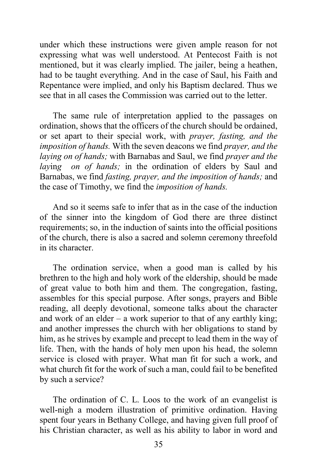under which these instructions were given ample reason for not expressing what was well understood. At Pentecost Faith is not mentioned, but it was clearly implied. The jailer, being a heathen, had to be taught everything. And in the case of Saul, his Faith and Repentance were implied, and only his Baptism declared. Thus we see that in all cases the Commission was carried out to the letter.

The same rule of interpretation applied to the passages on ordination, shows that the officers of the church should be ordained, or set apart to their special work, with *prayer, fasting, and the imposition of hands.* With the seven deacons we find *prayer, and the laying on of hands;* with Barnabas and Saul, we find *prayer and the laying on of hands*; in the ordination of elders by Saul and Barnabas, we find *fasting, prayer, and the imposition of hands;* and the case of Timothy, we find the *imposition of hands.*

And so it seems safe to infer that as in the case of the induction of the sinner into the kingdom of God there are three distinct requirements; so, in the induction of saints into the official positions of the church, there is also a sacred and solemn ceremony threefold in its character.

The ordination service, when a good man is called by his brethren to the high and holy work of the eldership, should be made of great value to both him and them. The congregation, fasting, assembles for this special purpose. After songs, prayers and Bible reading, all deeply devotional, someone talks about the character and work of an elder  $-$  a work superior to that of any earthly king; and another impresses the church with her obligations to stand by him, as he strives by example and precept to lead them in the way of life. Then, with the hands of holy men upon his head, the solemn service is closed with prayer. What man fit for such a work, and what church fit for the work of such a man, could fail to be benefited by such a service?

The ordination of C. L. Loos to the work of an evangelist is well-nigh a modern illustration of primitive ordination. Having spent four years in Bethany College, and having given full proof of his Christian character, as well as his ability to labor in word and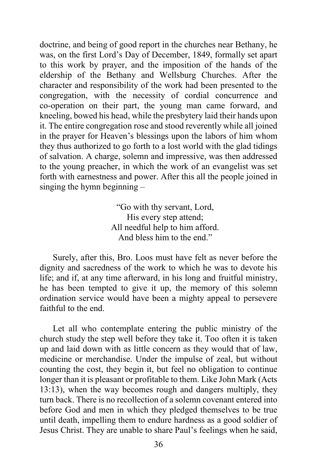doctrine, and being of good report in the churches near Bethany, he was, on the first Lord's Day of December, 1849, formally set apart to this work by prayer, and the imposition of the hands of the eldership of the Bethany and Wellsburg Churches. After the character and responsibility of the work had been presented to the congregation, with the necessity of cordial concurrence and co-operation on their part, the young man came forward, and kneeling, bowed his head, while the presbytery laid their hands upon it. The entire congregation rose and stood reverently while all joined in the prayer for Heaven's blessings upon the labors of him whom they thus authorized to go forth to a lost world with the glad tidings of salvation. A charge, solemn and impressive, was then addressed to the young preacher, in which the work of an evangelist was set forth with earnestness and power. After this all the people joined in singing the hymn beginning –

> "Go with thy servant, Lord, His every step attend; All needful help to him afford. And bless him to the end."

Surely, after this, Bro. Loos must have felt as never before the dignity and sacredness of the work to which he was to devote his life; and if, at any time afterward, in his long and fruitful ministry, he has been tempted to give it up, the memory of this solemn ordination service would have been a mighty appeal to persevere faithful to the end.

Let all who contemplate entering the public ministry of the church study the step well before they take it. Too often it is taken up and laid down with as little concern as they would that of law, medicine or merchandise. Under the impulse of zeal, but without counting the cost, they begin it, but feel no obligation to continue longer than it is pleasant or profitable to them. Like John Mark (Acts 13:13), when the way becomes rough and dangers multiply, they turn back. There is no recollection of a solemn covenant entered into before God and men in which they pledged themselves to be true until death, impelling them to endure hardness as a good soldier of Jesus Christ. They are unable to share Paul's feelings when he said,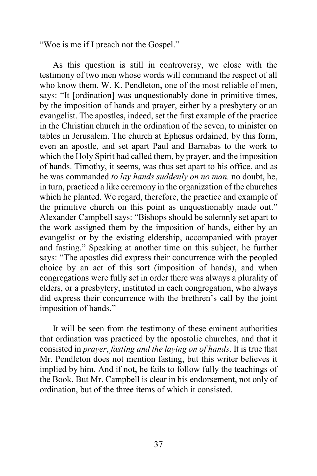"Woe is me if I preach not the Gospel."

As this question is still in controversy, we close with the testimony of two men whose words will command the respect of all who know them. W. K. Pendleton, one of the most reliable of men, says: "It [ordination] was unquestionably done in primitive times, by the imposition of hands and prayer, either by a presbytery or an evangelist. The apostles, indeed, set the first example of the practice in the Christian church in the ordination of the seven, to minister on tables in Jerusalem. The church at Ephesus ordained, by this form, even an apostle, and set apart Paul and Barnabas to the work to which the Holy Spirit had called them, by prayer, and the imposition of hands. Timothy, it seems, was thus set apart to his office, and as he was commanded *to lay hands suddenly on no man,* no doubt, he, in turn, practiced a like ceremony in the organization of the churches which he planted. We regard, therefore, the practice and example of the primitive church on this point as unquestionably made out." Alexander Campbell says: "Bishops should be solemnly set apart to the work assigned them by the imposition of hands, either by an evangelist or by the existing eldership, accompanied with prayer and fasting." Speaking at another time on this subject, he further says: "The apostles did express their concurrence with the peopled choice by an act of this sort (imposition of hands), and when congregations were fully set in order there was always a plurality of elders, or a presbytery, instituted in each congregation, who always did express their concurrence with the brethren's call by the joint imposition of hands."

It will be seen from the testimony of these eminent authorities that ordination was practiced by the apostolic churches, and that it consisted in *prayer*, *fasting and the laying on of hands*. It is true that Mr. Pendleton does not mention fasting, but this writer believes it implied by him. And if not, he fails to follow fully the teachings of the Book. But Mr. Campbell is clear in his endorsement, not only of ordination, but of the three items of which it consisted.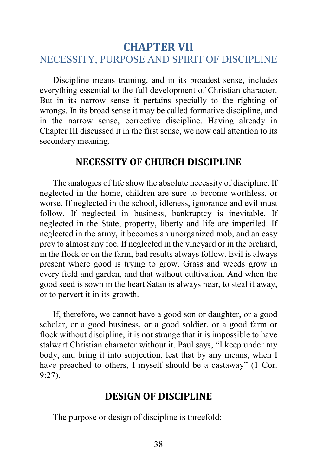# **CHAPTER VII** NECESSITY, PURPOSE AND SPIRIT OF DISCIPLINE

Discipline means training, and in its broadest sense, includes everything essential to the full development of Christian character. But in its narrow sense it pertains specially to the righting of wrongs. In its broad sense it may be called formative discipline, and in the narrow sense, corrective discipline. Having already in Chapter III discussed it in the first sense, we now call attention to its secondary meaning.

#### **NECESSITY OF CHURCH DISCIPLINE**

The analogies of life show the absolute necessity of discipline. If neglected in the home, children are sure to become worthless, or worse. If neglected in the school, idleness, ignorance and evil must follow. If neglected in business, bankruptcy is inevitable. If neglected in the State, property, liberty and life are imperiled. If neglected in the army, it becomes an unorganized mob, and an easy prey to almost any foe. If neglected in the vineyard or in the orchard, in the flock or on the farm, bad results always follow. Evil is always present where good is trying to grow. Grass and weeds grow in every field and garden, and that without cultivation. And when the good seed is sown in the heart Satan is always near, to steal it away, or to pervert it in its growth.

If, therefore, we cannot have a good son or daughter, or a good scholar, or a good business, or a good soldier, or a good farm or flock without discipline, it is not strange that it is impossible to have stalwart Christian character without it. Paul says, "I keep under my body, and bring it into subjection, lest that by any means, when I have preached to others, I myself should be a castaway" (1 Cor. 9:27).

# **DESIGN OF DISCIPLINE**

The purpose or design of discipline is threefold: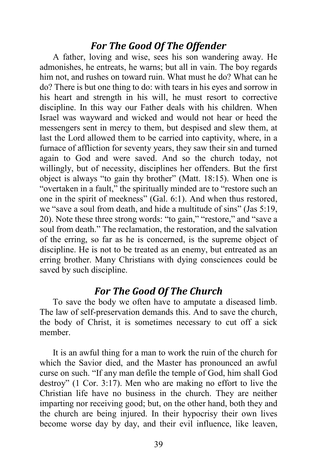# *For The Good Of The Offender*

A father, loving and wise, sees his son wandering away. He admonishes, he entreats, he warns; but all in vain. The boy regards him not, and rushes on toward ruin. What must he do? What can he do? There is but one thing to do: with tears in his eyes and sorrow in his heart and strength in his will, he must resort to corrective discipline. In this way our Father deals with his children. When Israel was wayward and wicked and would not hear or heed the messengers sent in mercy to them, but despised and slew them, at last the Lord allowed them to be carried into captivity, where, in a furnace of affliction for seventy years, they saw their sin and turned again to God and were saved. And so the church today, not willingly, but of necessity, disciplines her offenders. But the first object is always "to gain thy brother" (Matt. 18:15). When one is "overtaken in a fault," the spiritually minded are to "restore such an one in the spirit of meekness" (Gal. 6:1). And when thus restored, we "save a soul from death, and hide a multitude of sins" (Jas 5:19, 20). Note these three strong words: "to gain," "restore," and "save a soul from death." The reclamation, the restoration, and the salvation of the erring, so far as he is concerned, is the supreme object of discipline. He is not to be treated as an enemy, but entreated as an erring brother. Many Christians with dying consciences could be saved by such discipline.

# *For The Good Of The Church*

To save the body we often have to amputate a diseased limb. The law of self-preservation demands this. And to save the church, the body of Christ, it is sometimes necessary to cut off a sick member.

It is an awful thing for a man to work the ruin of the church for which the Savior died, and the Master has pronounced an awful curse on such. "If any man defile the temple of God, him shall God destroy" (1 Cor. 3:17). Men who are making no effort to live the Christian life have no business in the church. They are neither imparting nor receiving good; but, on the other hand, both they and the church are being injured. In their hypocrisy their own lives become worse day by day, and their evil influence, like leaven,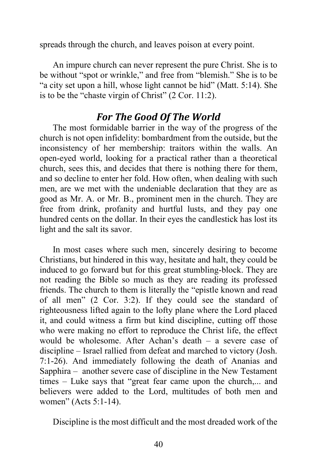spreads through the church, and leaves poison at every point.

An impure church can never represent the pure Christ. She is to be without "spot or wrinkle," and free from "blemish." She is to be "a city set upon a hill, whose light cannot be hid" (Matt. 5:14). She is to be the "chaste virgin of Christ" (2 Cor. 11:2).

# *For The Good Of The World*

The most formidable barrier in the way of the progress of the church is not open infidelity: bombardment from the outside, but the inconsistency of her membership: traitors within the walls. An open-eyed world, looking for a practical rather than a theoretical church, sees this, and decides that there is nothing there for them, and so decline to enter her fold. How often, when dealing with such men, are we met with the undeniable declaration that they are as good as Mr. A. or Mr. B., prominent men in the church. They are free from drink, profanity and hurtful lusts, and they pay one hundred cents on the dollar. In their eyes the candlestick has lost its light and the salt its savor.

In most cases where such men, sincerely desiring to become Christians, but hindered in this way, hesitate and halt, they could be induced to go forward but for this great stumbling-block. They are not reading the Bible so much as they are reading its professed friends. The church to them is literally the "epistle known and read of all men" (2 Cor. 3:2). If they could see the standard of righteousness lifted again to the lofty plane where the Lord placed it, and could witness a firm but kind discipline, cutting off those who were making no effort to reproduce the Christ life, the effect would be wholesome. After Achan's death – a severe case of discipline – Israel rallied from defeat and marched to victory (Josh. 7:1-26). And immediately following the death of Ananias and Sapphira – another severe case of discipline in the New Testament times – Luke says that "great fear came upon the church,... and believers were added to the Lord, multitudes of both men and women" (Acts 5:1-14).

Discipline is the most difficult and the most dreaded work of the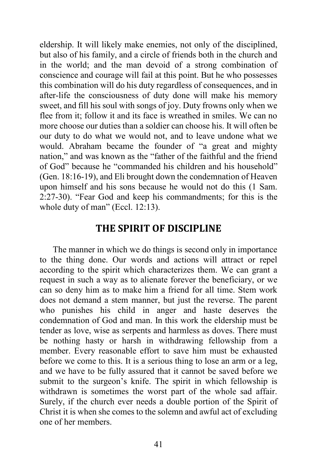eldership. It will likely make enemies, not only of the disciplined, but also of his family, and a circle of friends both in the church and in the world; and the man devoid of a strong combination of conscience and courage will fail at this point. But he who possesses this combination will do his duty regardless of consequences, and in after-life the consciousness of duty done will make his memory sweet, and fill his soul with songs of joy. Duty frowns only when we flee from it; follow it and its face is wreathed in smiles. We can no more choose our duties than a soldier can choose his. It will often be our duty to do what we would not, and to leave undone what we would. Abraham became the founder of "a great and mighty nation," and was known as the "father of the faithful and the friend of God" because he "commanded his children and his household" (Gen. 18:16-19), and Eli brought down the condemnation of Heaven upon himself and his sons because he would not do this (1 Sam. 2:27-30). "Fear God and keep his commandments; for this is the whole duty of man" (Eccl. 12:13).

#### **THE SPIRIT OF DISCIPLINE**

The manner in which we do things is second only in importance to the thing done. Our words and actions will attract or repel according to the spirit which characterizes them. We can grant a request in such a way as to alienate forever the beneficiary, or we can so deny him as to make him a friend for all time. Stem work does not demand a stem manner, but just the reverse. The parent who punishes his child in anger and haste deserves the condemnation of God and man. In this work the eldership must be tender as love, wise as serpents and harmless as doves. There must be nothing hasty or harsh in withdrawing fellowship from a member. Every reasonable effort to save him must be exhausted before we come to this. It is a serious thing to lose an arm or a leg, and we have to be fully assured that it cannot be saved before we submit to the surgeon's knife. The spirit in which fellowship is withdrawn is sometimes the worst part of the whole sad affair. Surely, if the church ever needs a double portion of the Spirit of Christ it is when she comes to the solemn and awful act of excluding one of her members.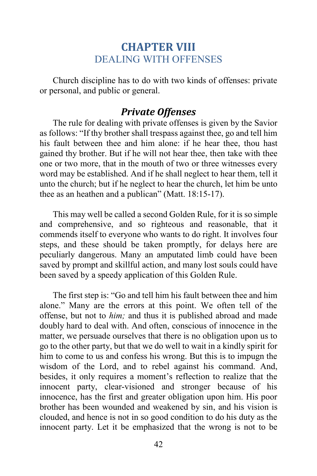# **CHAPTER VIII** DEALING WITH OFFENSES

Church discipline has to do with two kinds of offenses: private or personal, and public or general.

# *Private Offenses*

The rule for dealing with private offenses is given by the Savior as follows: "If thy brother shall trespass against thee, go and tell him his fault between thee and him alone: if he hear thee, thou hast gained thy brother. But if he will not hear thee, then take with thee one or two more, that in the mouth of two or three witnesses every word may be established. And if he shall neglect to hear them, tell it unto the church; but if he neglect to hear the church, let him be unto thee as an heathen and a publican" (Matt. 18:15-17).

This may well be called a second Golden Rule, for it is so simple and comprehensive, and so righteous and reasonable, that it commends itself to everyone who wants to do right. It involves four steps, and these should be taken promptly, for delays here are peculiarly dangerous. Many an amputated limb could have been saved by prompt and skillful action, and many lost souls could have been saved by a speedy application of this Golden Rule.

The first step is: "Go and tell him his fault between thee and him alone." Many are the errors at this point. We often tell of the offense, but not to *him;* and thus it is published abroad and made doubly hard to deal with. And often, conscious of innocence in the matter, we persuade ourselves that there is no obligation upon us to go to the other party, but that we do well to wait in a kindly spirit for him to come to us and confess his wrong. But this is to impugn the wisdom of the Lord, and to rebel against his command. And, besides, it only requires a moment's reflection to realize that the innocent party, clear-visioned and stronger because of his innocence, has the first and greater obligation upon him. His poor brother has been wounded and weakened by sin, and his vision is clouded, and hence is not in so good condition to do his duty as the innocent party. Let it be emphasized that the wrong is not to be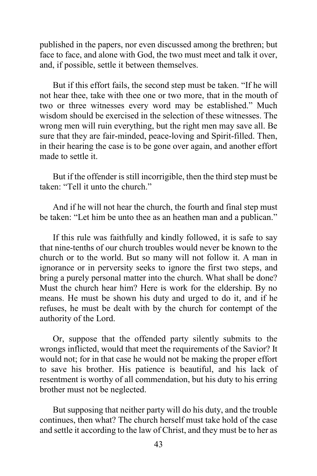published in the papers, nor even discussed among the brethren; but face to face, and alone with God, the two must meet and talk it over, and, if possible, settle it between themselves.

But if this effort fails, the second step must be taken. "If he will not hear thee, take with thee one or two more, that in the mouth of two or three witnesses every word may be established." Much wisdom should be exercised in the selection of these witnesses. The wrong men will ruin everything, but the right men may save all. Be sure that they are fair-minded, peace-loving and Spirit-filled. Then, in their hearing the case is to be gone over again, and another effort made to settle it.

But if the offender is still incorrigible, then the third step must be taken: "Tell it unto the church."

And if he will not hear the church, the fourth and final step must be taken: "Let him be unto thee as an heathen man and a publican."

If this rule was faithfully and kindly followed, it is safe to say that nine-tenths of our church troubles would never be known to the church or to the world. But so many will not follow it. A man in ignorance or in perversity seeks to ignore the first two steps, and bring a purely personal matter into the church. What shall be done? Must the church hear him? Here is work for the eldership. By no means. He must be shown his duty and urged to do it, and if he refuses, he must be dealt with by the church for contempt of the authority of the Lord.

Or, suppose that the offended party silently submits to the wrongs inflicted, would that meet the requirements of the Savior? It would not; for in that case he would not be making the proper effort to save his brother. His patience is beautiful, and his lack of resentment is worthy of all commendation, but his duty to his erring brother must not be neglected.

But supposing that neither party will do his duty, and the trouble continues, then what? The church herself must take hold of the case and settle it according to the law of Christ, and they must be to her as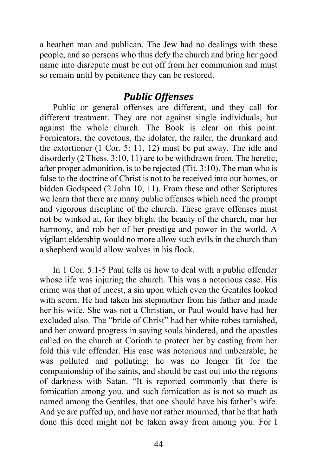a heathen man and publican. The Jew had no dealings with these people, and so persons who thus defy the church and bring her good name into disrepute must be cut off from her communion and must so remain until by penitence they can be restored.

# *Public Offenses*

Public or general offenses are different, and they call for different treatment. They are not against single individuals, but against the whole church. The Book is clear on this point. Fornicators, the covetous, the idolater, the railer, the drunkard and the extortioner (1 Cor. 5: 11, 12) must be put away. The idle and disorderly (2 Thess. 3:10, 11) are to be withdrawn from. The heretic, after proper admonition, is to be rejected (Tit. 3:10). The man who is false to the doctrine of Christ is not to be received into our homes, or bidden Godspeed (2 John 10, 11). From these and other Scriptures we learn that there are many public offenses which need the prompt and vigorous discipline of the church. These grave offenses must not be winked at, for they blight the beauty of the church, mar her harmony, and rob her of her prestige and power in the world. A vigilant eldership would no more allow such evils in the church than a shepherd would allow wolves in his flock.

In 1 Cor. 5:1-5 Paul tells us how to deal with a public offender whose life was injuring the church. This was a notorious case. His crime was that of incest, a sin upon which even the Gentiles looked with scorn. He had taken his stepmother from his father and made her his wife. She was not a Christian, or Paul would have had her excluded also. The "bride of Christ" had her white robes tarnished, and her onward progress in saving souls hindered, and the apostles called on the church at Corinth to protect her by casting from her fold this vile offender. His case was notorious and unbearable; he was polluted and polluting; he was no longer fit for the companionship of the saints, and should be cast out into the regions of darkness with Satan. "It is reported commonly that there is fornication among you, and such fornication as is not so much as named among the Gentiles, that one should have his father's wife. And ye are puffed up, and have not rather mourned, that he that hath done this deed might not be taken away from among you. For I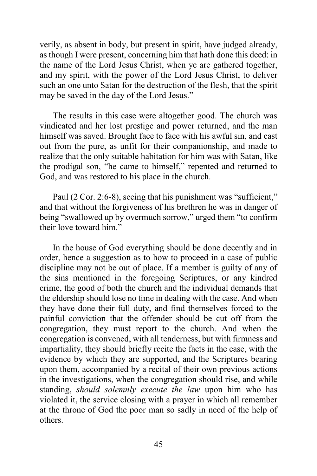verily, as absent in body, but present in spirit, have judged already, as though I were present, concerning him that hath done this deed: in the name of the Lord Jesus Christ, when ye are gathered together, and my spirit, with the power of the Lord Jesus Christ, to deliver such an one unto Satan for the destruction of the flesh, that the spirit may be saved in the day of the Lord Jesus."

The results in this case were altogether good. The church was vindicated and her lost prestige and power returned, and the man himself was saved. Brought face to face with his awful sin, and cast out from the pure, as unfit for their companionship, and made to realize that the only suitable habitation for him was with Satan, like the prodigal son, "he came to himself," repented and returned to God, and was restored to his place in the church.

Paul (2 Cor. 2:6-8), seeing that his punishment was "sufficient," and that without the forgiveness of his brethren he was in danger of being "swallowed up by overmuch sorrow," urged them "to confirm their love toward him."

In the house of God everything should be done decently and in order, hence a suggestion as to how to proceed in a case of public discipline may not be out of place. If a member is guilty of any of the sins mentioned in the foregoing Scriptures, or any kindred crime, the good of both the church and the individual demands that the eldership should lose no time in dealing with the case. And when they have done their full duty, and find themselves forced to the painful conviction that the offender should be cut off from the congregation, they must report to the church. And when the congregation is convened, with all tenderness, but with firmness and impartiality, they should briefly recite the facts in the case, with the evidence by which they are supported, and the Scriptures bearing upon them, accompanied by a recital of their own previous actions in the investigations, when the congregation should rise, and while standing, *should solemnly execute the law* upon him who has violated it, the service closing with a prayer in which all remember at the throne of God the poor man so sadly in need of the help of others.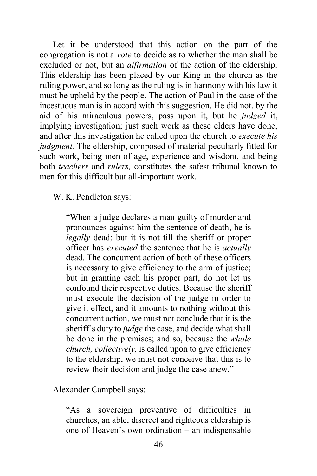Let it be understood that this action on the part of the congregation is not a *vote* to decide as to whether the man shall be excluded or not, but an *affirmation* of the action of the eldership. This eldership has been placed by our King in the church as the ruling power, and so long as the ruling is in harmony with his law it must be upheld by the people. The action of Paul in the case of the incestuous man is in accord with this suggestion. He did not, by the aid of his miraculous powers, pass upon it, but he *judged* it, implying investigation; just such work as these elders have done, and after this investigation he called upon the church to *execute his judgment*. The eldership, composed of material peculiarly fitted for such work, being men of age, experience and wisdom, and being both *teachers* and *rulers,* constitutes the safest tribunal known to men for this difficult but all-important work.

W. K. Pendleton says:

"When a judge declares a man guilty of murder and pronounces against him the sentence of death, he is *legally* dead; but it is not till the sheriff or proper officer has *executed* the sentence that he is *actually* dead. The concurrent action of both of these officers is necessary to give efficiency to the arm of justice; but in granting each his proper part, do not let us confound their respective duties. Because the sheriff must execute the decision of the judge in order to give it effect, and it amounts to nothing without this concurrent action, we must not conclude that it is the sheriff's duty to *judge* the case, and decide what shall be done in the premises; and so, because the *whole church, collectively,* is called upon to give efficiency to the eldership, we must not conceive that this is to review their decision and judge the case anew."

Alexander Campbell says:

"As a sovereign preventive of difficulties in churches, an able, discreet and righteous eldership is one of Heaven's own ordination – an indispensable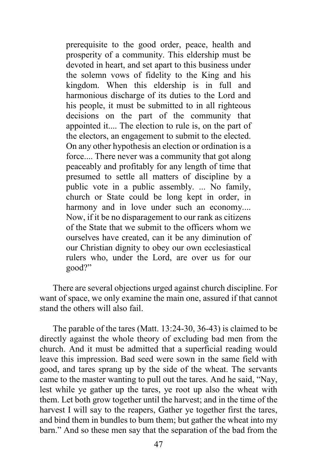prerequisite to the good order, peace, health and prosperity of a community. This eldership must be devoted in heart, and set apart to this business under the solemn vows of fidelity to the King and his kingdom. When this eldership is in full and harmonious discharge of its duties to the Lord and his people, it must be submitted to in all righteous decisions on the part of the community that appointed it.... The election to rule is, on the part of the electors, an engagement to submit to the elected. On any other hypothesis an election or ordination is a force.... There never was a community that got along peaceably and profitably for any length of time that presumed to settle all matters of discipline by a public vote in a public assembly. ... No family, church or State could be long kept in order, in harmony and in love under such an economy.... Now, if it be no disparagement to our rank as citizens of the State that we submit to the officers whom we ourselves have created, can it be any diminution of our Christian dignity to obey our own ecclesiastical rulers who, under the Lord, are over us for our good?"

There are several objections urged against church discipline. For want of space, we only examine the main one, assured if that cannot stand the others will also fail.

The parable of the tares (Matt. 13:24-30, 36-43) is claimed to be directly against the whole theory of excluding bad men from the church. And it must be admitted that a superficial reading would leave this impression. Bad seed were sown in the same field with good, and tares sprang up by the side of the wheat. The servants came to the master wanting to pull out the tares. And he said, "Nay, lest while ye gather up the tares, ye root up also the wheat with them. Let both grow together until the harvest; and in the time of the harvest I will say to the reapers, Gather ye together first the tares, and bind them in bundles to bum them; but gather the wheat into my barn." And so these men say that the separation of the bad from the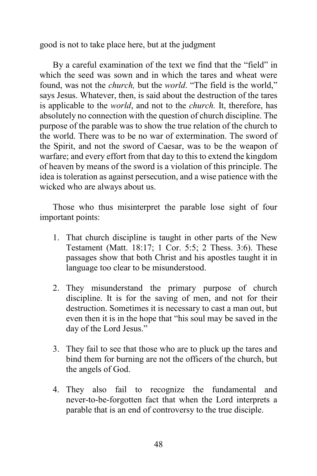good is not to take place here, but at the judgment

By a careful examination of the text we find that the "field" in which the seed was sown and in which the tares and wheat were found, was not the *church,* but the *world*. "The field is the world," says Jesus. Whatever, then, is said about the destruction of the tares is applicable to the *world*, and not to the *church.* It, therefore, has absolutely no connection with the question of church discipline. The purpose of the parable was to show the true relation of the church to the world. There was to be no war of extermination. The sword of the Spirit, and not the sword of Caesar, was to be the weapon of warfare; and every effort from that day to this to extend the kingdom of heaven by means of the sword is a violation of this principle. The idea is toleration as against persecution, and a wise patience with the wicked who are always about us.

Those who thus misinterpret the parable lose sight of four important points:

- 1. That church discipline is taught in other parts of the New Testament (Matt. 18:17; 1 Cor. 5:5; 2 Thess. 3:6). These passages show that both Christ and his apostles taught it in language too clear to be misunderstood.
- 2. They misunderstand the primary purpose of church discipline. It is for the saving of men, and not for their destruction. Sometimes it is necessary to cast a man out, but even then it is in the hope that "his soul may be saved in the day of the Lord Jesus."
- 3. They fail to see that those who are to pluck up the tares and bind them for burning are not the officers of the church, but the angels of God.
- 4. They also fail to recognize the fundamental and never-to-be-forgotten fact that when the Lord interprets a parable that is an end of controversy to the true disciple.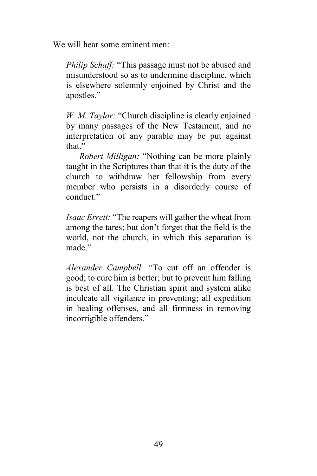We will hear some eminent men:

*Philip Schaff:* "This passage must not be abused and misunderstood so as to undermine discipline, which is elsewhere solemnly enjoined by Christ and the apostles."

*W. M. Taylor:* "Church discipline is clearly enjoined by many passages of the New Testament, and no interpretation of any parable may be put against that"

*Robert Milligan:* "Nothing can be more plainly taught in the Scriptures than that it is the duty of the church to withdraw her fellowship from every member who persists in a disorderly course of conduct."

*Isaac Errett:* "The reapers will gather the wheat from among the tares; but don't forget that the field is the world, not the church, in which this separation is made<sup>"</sup>

*Alexander Campbell:* "To cut off an offender is good; to cure him is better; but to prevent him falling is best of all. The Christian spirit and system alike inculcate all vigilance in preventing; all expedition in healing offenses, and all firmness in removing incorrigible offenders."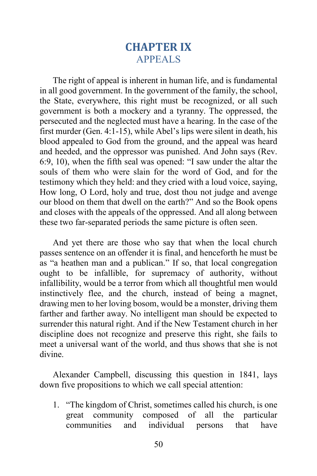# **CHAPTER IX** APPEALS

The right of appeal is inherent in human life, and is fundamental in all good government. In the government of the family, the school, the State, everywhere, this right must be recognized, or all such government is both a mockery and a tyranny. The oppressed, the persecuted and the neglected must have a hearing. In the case of the first murder (Gen. 4:1-15), while Abel's lips were silent in death, his blood appealed to God from the ground, and the appeal was heard and heeded, and the oppressor was punished. And John says (Rev. 6:9, 10), when the fifth seal was opened: "I saw under the altar the souls of them who were slain for the word of God, and for the testimony which they held: and they cried with a loud voice, saying, How long, O Lord, holy and true, dost thou not judge and avenge our blood on them that dwell on the earth?" And so the Book opens and closes with the appeals of the oppressed. And all along between these two far-separated periods the same picture is often seen.

And yet there are those who say that when the local church passes sentence on an offender it is final, and henceforth he must be as "a heathen man and a publican." If so, that local congregation ought to be infallible, for supremacy of authority, without infallibility, would be a terror from which all thoughtful men would instinctively flee, and the church, instead of being a magnet, drawing men to her loving bosom, would be a monster, driving them farther and farther away. No intelligent man should be expected to surrender this natural right. And if the New Testament church in her discipline does not recognize and preserve this right, she fails to meet a universal want of the world, and thus shows that she is not divine.

Alexander Campbell, discussing this question in 1841, lays down five propositions to which we call special attention:

1. "The kingdom of Christ, sometimes called his church, is one great community composed of all the particular communities and individual persons that have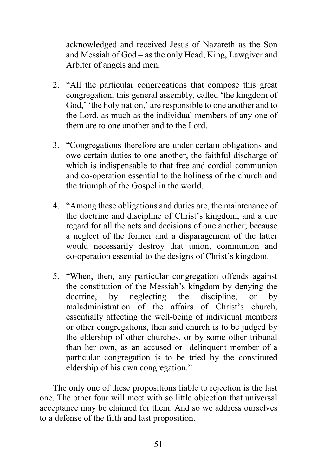acknowledged and received Jesus of Nazareth as the Son and Messiah of God – as the only Head, King, Lawgiver and Arbiter of angels and men.

- 2. "All the particular congregations that compose this great congregation, this general assembly, called 'the kingdom of God,' 'the holy nation,' are responsible to one another and to the Lord, as much as the individual members of any one of them are to one another and to the Lord.
- 3. "Congregations therefore are under certain obligations and owe certain duties to one another, the faithful discharge of which is indispensable to that free and cordial communion and co-operation essential to the holiness of the church and the triumph of the Gospel in the world.
- 4. "Among these obligations and duties are, the maintenance of the doctrine and discipline of Christ's kingdom, and a due regard for all the acts and decisions of one another; because a neglect of the former and a disparagement of the latter would necessarily destroy that union, communion and co-operation essential to the designs of Christ's kingdom.
- 5. "When, then, any particular congregation offends against the constitution of the Messiah's kingdom by denying the doctrine, by neglecting the discipline, or by maladministration of the affairs of Christ's church, essentially affecting the well-being of individual members or other congregations, then said church is to be judged by the eldership of other churches, or by some other tribunal than her own, as an accused or delinquent member of a particular congregation is to be tried by the constituted eldership of his own congregation."

The only one of these propositions liable to rejection is the last one. The other four will meet with so little objection that universal acceptance may be claimed for them. And so we address ourselves to a defense of the fifth and last proposition.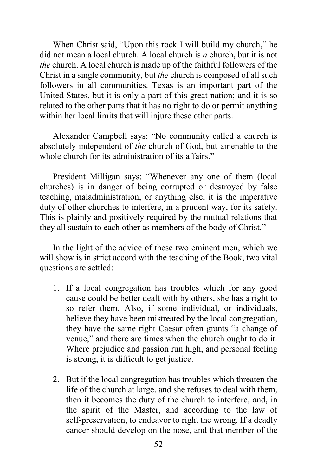When Christ said, "Upon this rock I will build my church," he did not mean a local church. A local church is *a* church, but it is not *the* church. A local church is made up of the faithful followers of the Christ in a single community, but *the* church is composed of all such followers in all communities. Texas is an important part of the United States, but it is only a part of this great nation; and it is so related to the other parts that it has no right to do or permit anything within her local limits that will injure these other parts.

Alexander Campbell says: "No community called a church is absolutely independent of *the* church of God, but amenable to the whole church for its administration of its affairs."

President Milligan says: "Whenever any one of them (local churches) is in danger of being corrupted or destroyed by false teaching, maladministration, or anything else, it is the imperative duty of other churches to interfere, in a prudent way, for its safety. This is plainly and positively required by the mutual relations that they all sustain to each other as members of the body of Christ."

In the light of the advice of these two eminent men, which we will show is in strict accord with the teaching of the Book, two vital questions are settled:

- 1. If a local congregation has troubles which for any good cause could be better dealt with by others, she has a right to so refer them. Also, if some individual, or individuals, believe they have been mistreated by the local congregation, they have the same right Caesar often grants "a change of venue," and there are times when the church ought to do it. Where prejudice and passion run high, and personal feeling is strong, it is difficult to get justice.
- 2. But if the local congregation has troubles which threaten the life of the church at large, and she refuses to deal with them, then it becomes the duty of the church to interfere, and, in the spirit of the Master, and according to the law of self-preservation, to endeavor to right the wrong. If a deadly cancer should develop on the nose, and that member of the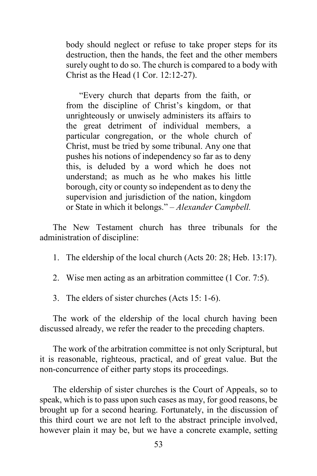body should neglect or refuse to take proper steps for its destruction, then the hands, the feet and the other members surely ought to do so. The church is compared to a body with Christ as the Head (1 Cor. 12:12-27).

"Every church that departs from the faith, or from the discipline of Christ's kingdom, or that unrighteously or unwisely administers its affairs to the great detriment of individual members, a particular congregation, or the whole church of Christ, must be tried by some tribunal. Any one that pushes his notions of independency so far as to deny this, is deluded by a word which he does not understand; as much as he who makes his little borough, city or county so independent as to deny the supervision and jurisdiction of the nation, kingdom or State in which it belongs." – *Alexander Campbell.*

The New Testament church has three tribunals for the administration of discipline:

- 1. The eldership of the local church (Acts 20: 28; Heb. 13:17).
- 2. Wise men acting as an arbitration committee (1 Cor. 7:5).
- 3. The elders of sister churches (Acts 15: 1-6).

The work of the eldership of the local church having been discussed already, we refer the reader to the preceding chapters.

The work of the arbitration committee is not only Scriptural, but it is reasonable, righteous, practical, and of great value. But the non-concurrence of either party stops its proceedings.

The eldership of sister churches is the Court of Appeals, so to speak, which is to pass upon such cases as may, for good reasons, be brought up for a second hearing. Fortunately, in the discussion of this third court we are not left to the abstract principle involved, however plain it may be, but we have a concrete example, setting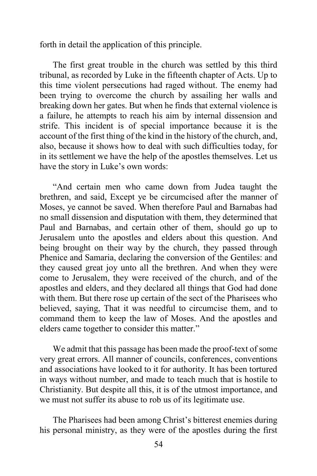forth in detail the application of this principle.

The first great trouble in the church was settled by this third tribunal, as recorded by Luke in the fifteenth chapter of Acts. Up to this time violent persecutions had raged without. The enemy had been trying to overcome the church by assailing her walls and breaking down her gates. But when he finds that external violence is a failure, he attempts to reach his aim by internal dissension and strife. This incident is of special importance because it is the account of the first thing of the kind in the history of the church, and, also, because it shows how to deal with such difficulties today, for in its settlement we have the help of the apostles themselves. Let us have the story in Luke's own words:

"And certain men who came down from Judea taught the brethren, and said, Except ye be circumcised after the manner of Moses, ye cannot be saved. When therefore Paul and Barnabas had no small dissension and disputation with them, they determined that Paul and Barnabas, and certain other of them, should go up to Jerusalem unto the apostles and elders about this question. And being brought on their way by the church, they passed through Phenice and Samaria, declaring the conversion of the Gentiles: and they caused great joy unto all the brethren. And when they were come to Jerusalem, they were received of the church, and of the apostles and elders, and they declared all things that God had done with them. But there rose up certain of the sect of the Pharisees who believed, saying, That it was needful to circumcise them, and to command them to keep the law of Moses. And the apostles and elders came together to consider this matter."

We admit that this passage has been made the proof-text of some very great errors. All manner of councils, conferences, conventions and associations have looked to it for authority. It has been tortured in ways without number, and made to teach much that is hostile to Christianity. But despite all this, it is of the utmost importance, and we must not suffer its abuse to rob us of its legitimate use.

The Pharisees had been among Christ's bitterest enemies during his personal ministry, as they were of the apostles during the first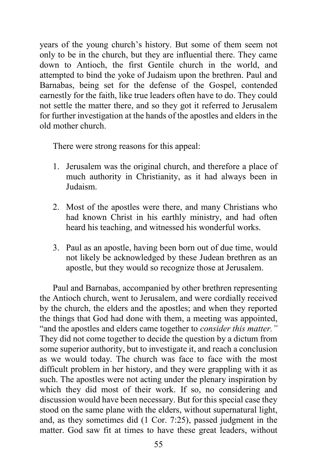years of the young church's history. But some of them seem not only to be in the church, but they are influential there. They came down to Antioch, the first Gentile church in the world, and attempted to bind the yoke of Judaism upon the brethren. Paul and Barnabas, being set for the defense of the Gospel, contended earnestly for the faith, like true leaders often have to do. They could not settle the matter there, and so they got it referred to Jerusalem for further investigation at the hands of the apostles and elders in the old mother church.

There were strong reasons for this appeal:

- 1. Jerusalem was the original church, and therefore a place of much authority in Christianity, as it had always been in Judaism.
- 2. Most of the apostles were there, and many Christians who had known Christ in his earthly ministry, and had often heard his teaching, and witnessed his wonderful works.
- 3. Paul as an apostle, having been born out of due time, would not likely be acknowledged by these Judean brethren as an apostle, but they would so recognize those at Jerusalem.

Paul and Barnabas, accompanied by other brethren representing the Antioch church, went to Jerusalem, and were cordially received by the church, the elders and the apostles; and when they reported the things that God had done with them, a meeting was appointed, "and the apostles and elders came together to *consider this matter."* They did not come together to decide the question by a dictum from some superior authority, but to investigate it, and reach a conclusion as we would today. The church was face to face with the most difficult problem in her history, and they were grappling with it as such. The apostles were not acting under the plenary inspiration by which they did most of their work. If so, no considering and discussion would have been necessary. But for this special case they stood on the same plane with the elders, without supernatural light, and, as they sometimes did (1 Cor. 7:25), passed judgment in the matter. God saw fit at times to have these great leaders, without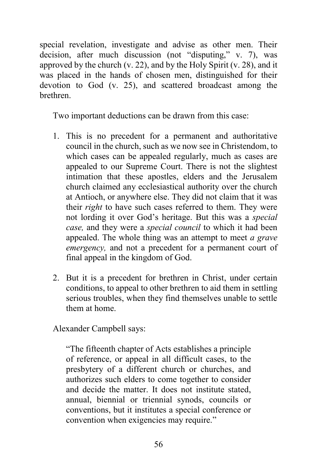special revelation, investigate and advise as other men. Their decision, after much discussion (not "disputing," v. 7), was approved by the church  $(v. 22)$ , and by the Holy Spirit  $(v. 28)$ , and it was placed in the hands of chosen men, distinguished for their devotion to God (v. 25), and scattered broadcast among the brethren.

Two important deductions can be drawn from this case:

- 1. This is no precedent for a permanent and authoritative council in the church, such as we now see in Christendom, to which cases can be appealed regularly, much as cases are appealed to our Supreme Court. There is not the slightest intimation that these apostles, elders and the Jerusalem church claimed any ecclesiastical authority over the church at Antioch, or anywhere else. They did not claim that it was their *right* to have such cases referred to them. They were not lording it over God's heritage. But this was a *special case,* and they were a *special council* to which it had been appealed. The whole thing was an attempt to meet *a grave emergency,* and not a precedent for a permanent court of final appeal in the kingdom of God.
- 2. But it is a precedent for brethren in Christ, under certain conditions, to appeal to other brethren to aid them in settling serious troubles, when they find themselves unable to settle them at home.

Alexander Campbell says:

"The fifteenth chapter of Acts establishes a principle of reference, or appeal in all difficult cases, to the presbytery of a different church or churches, and authorizes such elders to come together to consider and decide the matter. It does not institute stated, annual, biennial or triennial synods, councils or conventions, but it institutes a special conference or convention when exigencies may require."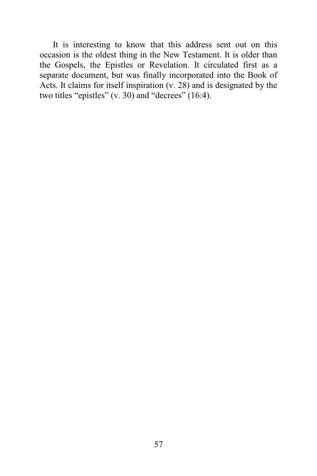It is interesting to know that this address sent out on this occasion is the oldest thing in the New Testament. It is older than the Gospels, the Epistles or Revelation. It circulated first as a separate document, but was finally incorporated into the Book of Acts. It claims for itself inspiration (v. 28) and is designated by the two titles "epistles" (v. 30) and "decrees" (16:4).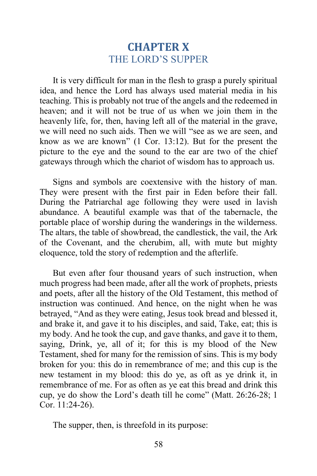# **CHAPTER X** THE LORD'S SUPPER

It is very difficult for man in the flesh to grasp a purely spiritual idea, and hence the Lord has always used material media in his teaching. This is probably not true of the angels and the redeemed in heaven; and it will not be true of us when we join them in the heavenly life, for, then, having left all of the material in the grave, we will need no such aids. Then we will "see as we are seen, and know as we are known" (1 Cor. 13:12). But for the present the picture to the eye and the sound to the ear are two of the chief gateways through which the chariot of wisdom has to approach us.

Signs and symbols are coextensive with the history of man. They were present with the first pair in Eden before their fall. During the Patriarchal age following they were used in lavish abundance. A beautiful example was that of the tabernacle, the portable place of worship during the wanderings in the wilderness. The altars, the table of showbread, the candlestick, the vail, the Ark of the Covenant, and the cherubim, all, with mute but mighty eloquence, told the story of redemption and the afterlife.

But even after four thousand years of such instruction, when much progress had been made, after all the work of prophets, priests and poets, after all the history of the Old Testament, this method of instruction was continued. And hence, on the night when he was betrayed, "And as they were eating, Jesus took bread and blessed it, and brake it, and gave it to his disciples, and said, Take, eat; this is my body. And he took the cup, and gave thanks, and gave it to them, saying, Drink, ye, all of it; for this is my blood of the New Testament, shed for many for the remission of sins. This is my body broken for you: this do in remembrance of me; and this cup is the new testament in my blood: this do ye, as oft as ye drink it, in remembrance of me. For as often as ye eat this bread and drink this cup, ye do show the Lord's death till he come" (Matt. 26:26-28; 1 Cor. 11:24-26).

The supper, then, is threefold in its purpose: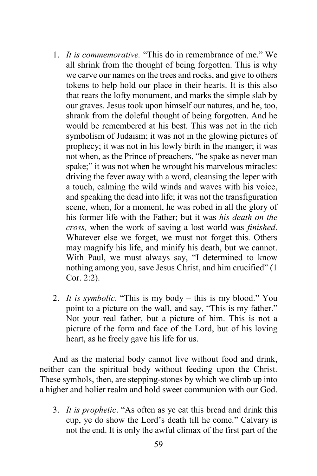- 1. *It is commemorative.* "This do in remembrance of me." We all shrink from the thought of being forgotten. This is why we carve our names on the trees and rocks, and give to others tokens to help hold our place in their hearts. It is this also that rears the lofty monument, and marks the simple slab by our graves. Jesus took upon himself our natures, and he, too, shrank from the doleful thought of being forgotten. And he would be remembered at his best. This was not in the rich symbolism of Judaism; it was not in the glowing pictures of prophecy; it was not in his lowly birth in the manger; it was not when, as the Prince of preachers, "he spake as never man spake;" it was not when he wrought his marvelous miracles: driving the fever away with a word, cleansing the leper with a touch, calming the wild winds and waves with his voice, and speaking the dead into life; it was not the transfiguration scene, when, for a moment, he was robed in all the glory of his former life with the Father; but it was *his death on the cross,* when the work of saving a lost world was *finished*. Whatever else we forget, we must not forget this. Others may magnify his life, and minify his death, but we cannot. With Paul, we must always say, "I determined to know nothing among you, save Jesus Christ, and him crucified" (1 Cor. 2:2).
- 2. *It is symbolic*. "This is my body this is my blood." You point to a picture on the wall, and say, "This is my father." Not your real father, but a picture of him. This is not a picture of the form and face of the Lord, but of his loving heart, as he freely gave his life for us.

And as the material body cannot live without food and drink, neither can the spiritual body without feeding upon the Christ. These symbols, then, are stepping-stones by which we climb up into a higher and holier realm and hold sweet communion with our God.

3. *It is prophetic*. "As often as ye eat this bread and drink this cup, ye do show the Lord's death till he come." Calvary is not the end. It is only the awful climax of the first part of the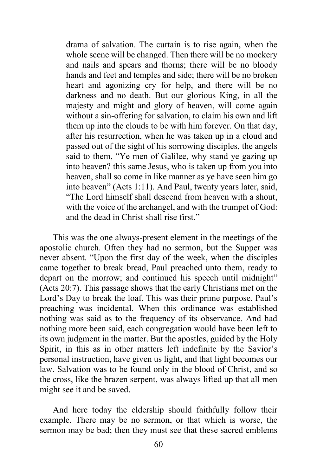drama of salvation. The curtain is to rise again, when the whole scene will be changed. Then there will be no mockery and nails and spears and thorns; there will be no bloody hands and feet and temples and side; there will be no broken heart and agonizing cry for help, and there will be no darkness and no death. But our glorious King, in all the majesty and might and glory of heaven, will come again without a sin-offering for salvation, to claim his own and lift them up into the clouds to be with him forever. On that day, after his resurrection, when he was taken up in a cloud and passed out of the sight of his sorrowing disciples, the angels said to them, "Ye men of Galilee, why stand ye gazing up into heaven? this same Jesus, who is taken up from you into heaven, shall so come in like manner as ye have seen him go into heaven" (Acts 1:11). And Paul, twenty years later, said, "The Lord himself shall descend from heaven with a shout, with the voice of the archangel, and with the trumpet of God: and the dead in Christ shall rise first."

This was the one always-present element in the meetings of the apostolic church. Often they had no sermon, but the Supper was never absent. "Upon the first day of the week, when the disciples came together to break bread, Paul preached unto them, ready to depart on the morrow; and continued his speech until midnight" (Acts 20:7). This passage shows that the early Christians met on the Lord's Day to break the loaf. This was their prime purpose. Paul's preaching was incidental. When this ordinance was established nothing was said as to the frequency of its observance. And had nothing more been said, each congregation would have been left to its own judgment in the matter. But the apostles, guided by the Holy Spirit, in this as in other matters left indefinite by the Savior's personal instruction, have given us light, and that light becomes our law. Salvation was to be found only in the blood of Christ, and so the cross, like the brazen serpent, was always lifted up that all men might see it and be saved.

And here today the eldership should faithfully follow their example. There may be no sermon, or that which is worse, the sermon may be bad; then they must see that these sacred emblems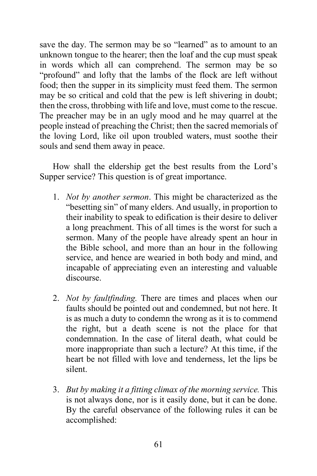save the day. The sermon may be so "learned" as to amount to an unknown tongue to the hearer; then the loaf and the cup must speak in words which all can comprehend. The sermon may be so "profound" and lofty that the lambs of the flock are left without food; then the supper in its simplicity must feed them. The sermon may be so critical and cold that the pew is left shivering in doubt; then the cross, throbbing with life and love, must come to the rescue. The preacher may be in an ugly mood and he may quarrel at the people instead of preaching the Christ; then the sacred memorials of the loving Lord, like oil upon troubled waters, must soothe their souls and send them away in peace.

How shall the eldership get the best results from the Lord's Supper service? This question is of great importance.

- 1. *Not by another sermon*. This might be characterized as the "besetting sin" of many elders. And usually, in proportion to their inability to speak to edification is their desire to deliver a long preachment. This of all times is the worst for such a sermon. Many of the people have already spent an hour in the Bible school, and more than an hour in the following service, and hence are wearied in both body and mind, and incapable of appreciating even an interesting and valuable discourse.
- 2. *Not by faultfinding.* There are times and places when our faults should be pointed out and condemned, but not here. It is as much a duty to condemn the wrong as it is to commend the right, but a death scene is not the place for that condemnation. In the case of literal death, what could be more inappropriate than such a lecture? At this time, if the heart be not filled with love and tenderness, let the lips be silent.
- 3. *But by making it a fitting climax of the morning service.* This is not always done, nor is it easily done, but it can be done. By the careful observance of the following rules it can be accomplished: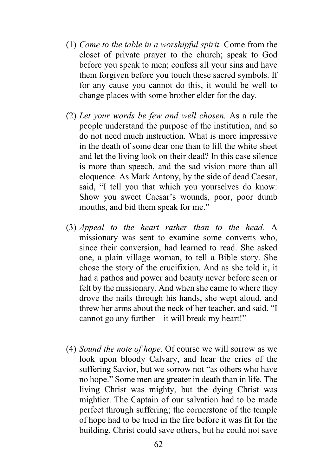- (1) *Come to the table in a worshipful spirit.* Come from the closet of private prayer to the church; speak to God before you speak to men; confess all your sins and have them forgiven before you touch these sacred symbols. If for any cause you cannot do this, it would be well to change places with some brother elder for the day.
- (2) *Let your words be few and well chosen.* As a rule the people understand the purpose of the institution, and so do not need much instruction. What is more impressive in the death of some dear one than to lift the white sheet and let the living look on their dead? In this case silence is more than speech, and the sad vision more than all eloquence. As Mark Antony, by the side of dead Caesar, said, "I tell you that which you yourselves do know: Show you sweet Caesar's wounds, poor, poor dumb mouths, and bid them speak for me."
- (3) *Appeal to the heart rather than to the head.* A missionary was sent to examine some converts who, since their conversion, had learned to read. She asked one, a plain village woman, to tell a Bible story. She chose the story of the crucifixion. And as she told it, it had a pathos and power and beauty never before seen or felt by the missionary. And when she came to where they drove the nails through his hands, she wept aloud, and threw her arms about the neck of her teacher, and said, "I cannot go any further – it will break my heart!"
- (4) *Sound the note of hope.* Of course we will sorrow as we look upon bloody Calvary, and hear the cries of the suffering Savior, but we sorrow not "as others who have no hope." Some men are greater in death than in life. The living Christ was mighty, but the dying Christ was mightier. The Captain of our salvation had to be made perfect through suffering; the cornerstone of the temple of hope had to be tried in the fire before it was fit for the building. Christ could save others, but he could not save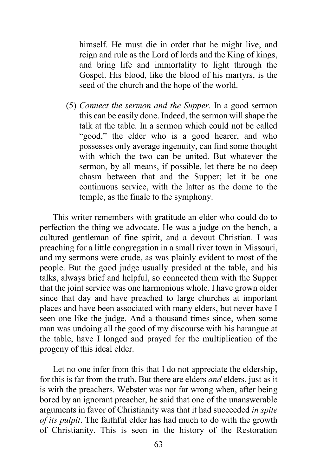himself. He must die in order that he might live, and reign and rule as the Lord of lords and the King of kings, and bring life and immortality to light through the Gospel. His blood, like the blood of his martyrs, is the seed of the church and the hope of the world.

(5) *Connect the sermon and the Supper.* In a good sermon this can be easily done. Indeed, the sermon will shape the talk at the table. In a sermon which could not be called "good," the elder who is a good hearer, and who possesses only average ingenuity, can find some thought with which the two can be united. But whatever the sermon, by all means, if possible, let there be no deep chasm between that and the Supper; let it be one continuous service, with the latter as the dome to the temple, as the finale to the symphony.

This writer remembers with gratitude an elder who could do to perfection the thing we advocate. He was a judge on the bench, a cultured gentleman of fine spirit, and a devout Christian. I was preaching for a little congregation in a small river town in Missouri, and my sermons were crude, as was plainly evident to most of the people. But the good judge usually presided at the table, and his talks, always brief and helpful, so connected them with the Supper that the joint service was one harmonious whole. I have grown older since that day and have preached to large churches at important places and have been associated with many elders, but never have I seen one like the judge. And a thousand times since, when some man was undoing all the good of my discourse with his harangue at the table, have I longed and prayed for the multiplication of the progeny of this ideal elder.

Let no one infer from this that I do not appreciate the eldership, for this is far from the truth. But there are elders *and* elders, just as it is with the preachers. Webster was not far wrong when, after being bored by an ignorant preacher, he said that one of the unanswerable arguments in favor of Christianity was that it had succeeded *in spite of its pulpit*. The faithful elder has had much to do with the growth of Christianity. This is seen in the history of the Restoration